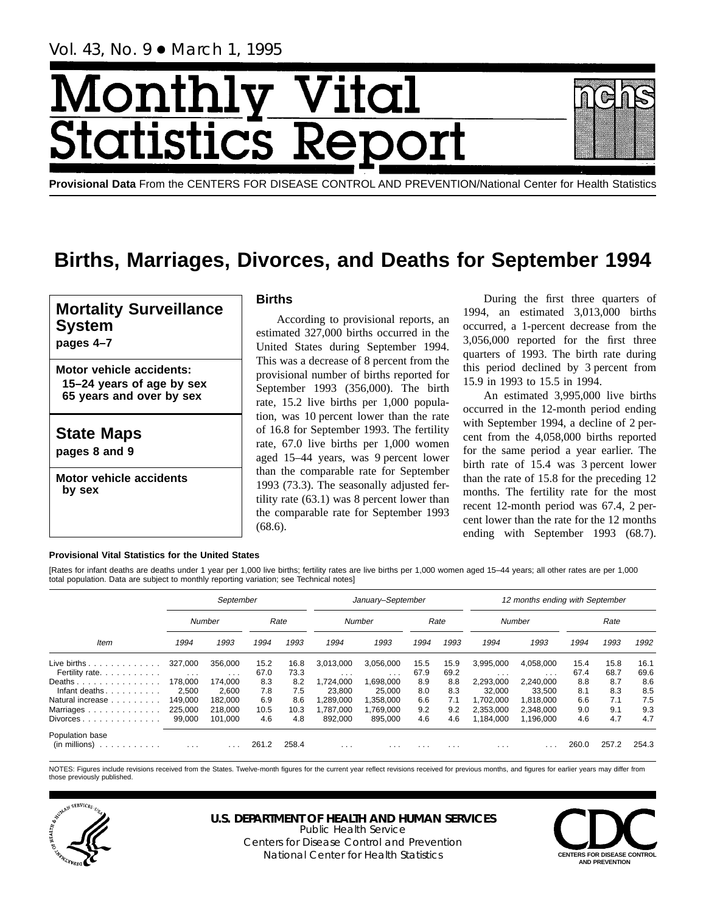# <u>Monthl</u> <u>y Vital</u> **Statistics Report**

**Provisional Data** From the CENTERS FOR DISEASE CONTROL AND PREVENTION/National Center for Health Statistics

# **Births, Marriages, Divorces, and Deaths for September 1994**

# **Mortality Surveillance System**

**pages 4–7**

**Motor vehicle accidents: 15–24 years of age by sex 65 years and over by sex**

**State Maps**

**pages 8 and 9**

**Motor vehicle accidents by sex**

# **Births**

According to provisional reports, an estimated 327,000 births occurred in the United States during September 1994. This was a decrease of 8 percent from the provisional number of births reported for September 1993 (356,000). The birth rate, 15.2 live births per 1,000 population, was 10 percent lower than the rate of 16.8 for September 1993. The fertility rate, 67.0 live births per 1,000 women aged 15–44 years, was 9 percent lower than the comparable rate for September 1993 (73.3). The seasonally adjusted fertility rate (63.1) was 8 percent lower than the comparable rate for September 1993 (68.6).

During the first three quarters of 1994, an estimated 3,013,000 births occurred, a 1-percent decrease from the 3,056,000 reported for the first three quarters of 1993. The birth rate during this period declined by 3 percent from 15.9 in 1993 to 15.5 in 1994.

An estimated 3,995,000 live births occurred in the 12-month period ending with September 1994, a decline of 2 percent from the 4,058,000 births reported for the same period a year earlier. The birth rate of 15.4 was 3 percent lower than the rate of 15.8 for the preceding 12 months. The fertility rate for the most recent 12-month period was 67.4, 2 percent lower than the rate for the 12 months ending with September 1993 (68.7).

# **Provisional Vital Statistics for the United States**

[Rates for infant deaths are deaths under 1 year per 1,000 live births; fertility rates are live births per 1,000 women aged 15–44 years; all other rates are per 1,000 total population. Data are subject to monthly reporting variation; see Technical notes]

|                                                                            | September                       |                         |              |              |                         | January-September       |                         |              | 12 months ending with September |                                      |              |              |              |  |
|----------------------------------------------------------------------------|---------------------------------|-------------------------|--------------|--------------|-------------------------|-------------------------|-------------------------|--------------|---------------------------------|--------------------------------------|--------------|--------------|--------------|--|
|                                                                            |                                 | Number                  |              | Rate         |                         | Number                  |                         | Rate         |                                 | Number                               |              | Rate         |              |  |
| Item                                                                       | 1994                            | 1993                    | 1994         | 1993         | 1994                    | 1993                    | 1994                    | 1993         | 1994                            | 1993                                 | 1994         | 1993         | 1992         |  |
| Live births $\ldots$<br>Fertility rate.                                    | 327.000<br>$\sim$ $\sim$ $\sim$ | 356.000<br>$\cdots$     | 15.2<br>67.0 | 16.8<br>73.3 | 3.013.000<br>$\cdots$   | 3,056,000<br>$\cdots$   | 15.5<br>67.9            | 15.9<br>69.2 | 3,995,000<br>$\cdots$           | 4.058.000<br>$\cdot$ $\cdot$ $\cdot$ | 15.4<br>67.4 | 15.8<br>68.7 | 16.1<br>69.6 |  |
| Deaths<br>Infant deaths                                                    | 178.000<br>2.500                | 174.000<br>2,600        | 8.3<br>7.8   | 8.2<br>7.5   | 1.724.000<br>23.800     | 1,698,000<br>25.000     | 8.9<br>8.0              | 8.8<br>8.3   | 2,293,000<br>32.000             | 2.240.000<br>33.500                  | 8.8<br>8.1   | 8.7<br>8.3   | 8.6<br>8.5   |  |
| Natural increase<br>Marriages                                              | 149.000<br>225,000              | 182.000<br>218.000      | 6.9<br>10.5  | 8.6<br>10.3  | ,289,000<br>,787,000    | 1,358,000<br>1.769.000  | 6.6<br>9.2              | 7.1<br>9.2   | 1.702.000<br>2.353.000          | 1.818.000<br>2.348.000               | 6.6<br>9.0   | 7.1<br>9.1   | 7.5<br>9.3   |  |
| Divorces                                                                   | 99.000                          | 101.000                 | 4.6          | 4.8          | 892.000                 | 895.000                 | 4.6                     | 4.6          | 1.184.000                       | 1.196.000                            | 4.6          | 4.7          | 4.7          |  |
| Population base<br>(in millions)<br>the second contract of the second con- | $\cdots$                        | $\cdot$ $\cdot$ $\cdot$ | 261.2        | 258.4        | $\cdot$ $\cdot$ $\cdot$ | $\cdot$ $\cdot$ $\cdot$ | $\cdot$ $\cdot$ $\cdot$ | $\cdots$     | $\cdots$                        | .                                    | 260.0        | 257.2        | 254.3        |  |

NOTES: Figures include revisions received from the States. Twelve-month figures for the current year reflect revisions received for previous months, and figures for earlier years may differ from those previously published.



#### **U.S. DEPARTMENT OF HEALTH AND HUMAN SERVICES** Public Health Service

Centers for Disease Control and Prevention National Center for Health Statistics **CENTERS FOR DISEASE CONTROL** 

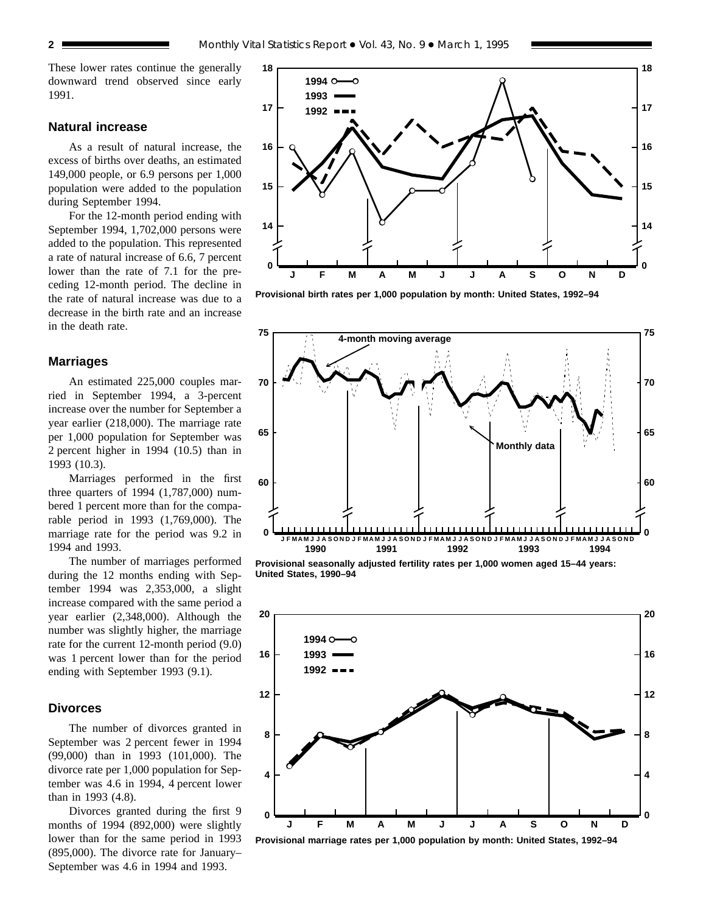These lower rates continue the generally downward trend observed since early 1991.

# **Natural increase**

As a result of natural increase, the excess of births over deaths, an estimated 149,000 people, or 6.9 persons per 1,000 population were added to the population during September 1994.

For the 12-month period ending with September 1994, 1,702,000 persons were added to the population. This represented a rate of natural increase of 6.6, 7 percent lower than the rate of 7.1 for the preceding 12-month period. The decline in the rate of natural increase was due to a decrease in the birth rate and an increase in the death rate.

### **Marriages**

An estimated 225,000 couples married in September 1994, a 3-percent increase over the number for September a year earlier (218,000). The marriage rate per 1,000 population for September was 2 percent higher in 1994 (10.5) than in 1993 (10.3).

Marriages performed in the first three quarters of 1994 (1,787,000) numbered 1 percent more than for the comparable period in 1993 (1,769,000). The marriage rate for the period was 9.2 in 1994 and 1993.

The number of marriages performed during the 12 months ending with September 1994 was 2,353,000, a slight increase compared with the same period a year earlier (2,348,000). Although the number was slightly higher, the marriage rate for the current 12-month period (9.0) was 1 percent lower than for the period ending with September 1993 (9.1).

#### **Divorces**

The number of divorces granted in September was 2 percent fewer in 1994 (99,000) than in 1993 (101,000). The divorce rate per 1,000 population for September was 4.6 in 1994, 4 percent lower than in 1993 (4.8).

Divorces granted during the first 9 months of 1994 (892,000) were slightly lower than for the same period in 1993 (895,000). The divorce rate for January– September was 4.6 in 1994 and 1993.



**Provisional birth rates per 1,000 population by month: United States, 1992–94**



**Provisional seasonally adjusted fertility rates per 1,000 women aged 15–44 years: United States, 1990–94**

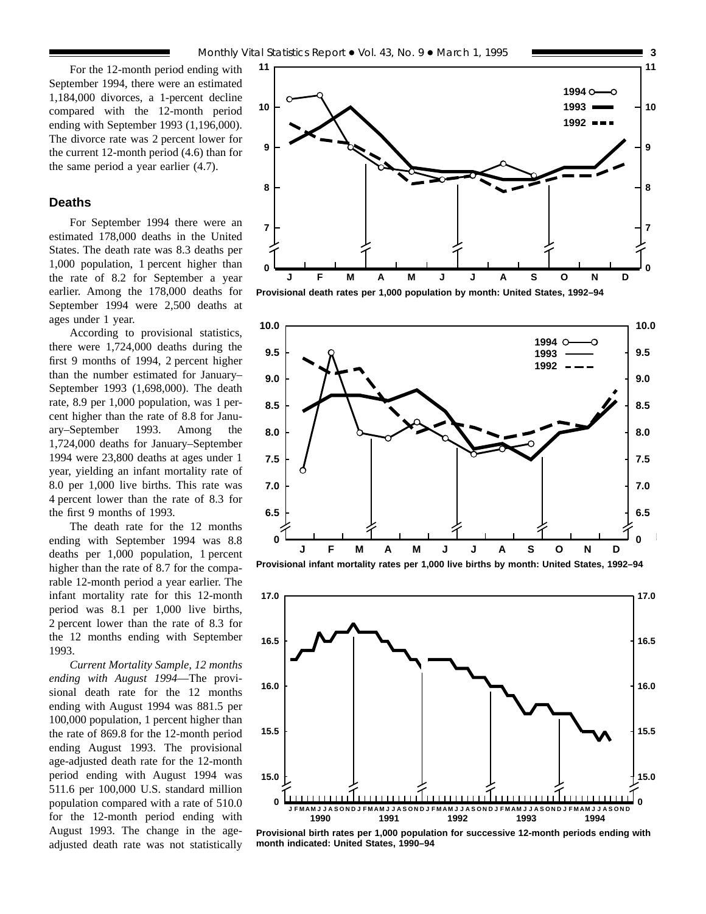#### **Deaths**

For September 1994 there were an estimated 178,000 deaths in the United States. The death rate was 8.3 deaths per 1,000 population, 1 percent higher than the rate of 8.2 for September a year earlier. Among the 178,000 deaths for September 1994 were 2,500 deaths at ages under 1 year.

According to provisional statistics, there were 1,724,000 deaths during the first 9 months of 1994, 2 percent higher than the number estimated for January– September 1993 (1,698,000). The death rate, 8.9 per 1,000 population, was 1 percent higher than the rate of 8.8 for January–September 1993. Among the 1,724,000 deaths for January–September 1994 were 23,800 deaths at ages under 1 year, yielding an infant mortality rate of 8.0 per 1,000 live births. This rate was 4 percent lower than the rate of 8.3 for the first 9 months of 1993.

The death rate for the 12 months ending with September 1994 was 8.8 deaths per 1,000 population, 1 percent higher than the rate of 8.7 for the comparable 12-month period a year earlier. The infant mortality rate for this 12-month period was 8.1 per 1,000 live births, 2 percent lower than the rate of 8.3 for the 12 months ending with September 1993.

*Current Mortality Sample, 12 months ending with August 1994*—The provisional death rate for the 12 months ending with August 1994 was 881.5 per 100,000 population, 1 percent higher than the rate of 869.8 for the 12-month period ending August 1993. The provisional age-adjusted death rate for the 12-month period ending with August 1994 was 511.6 per 100,000 U.S. standard million population compared with a rate of 510.0 for the 12-month period ending with August 1993. The change in the ageadjusted death rate was not statistically



**Provisional death rates per 1,000 population by month: United States, 1992–94**







**Provisional birth rates per 1,000 population for successive 12-month periods ending with month indicated: United States, 1990–94**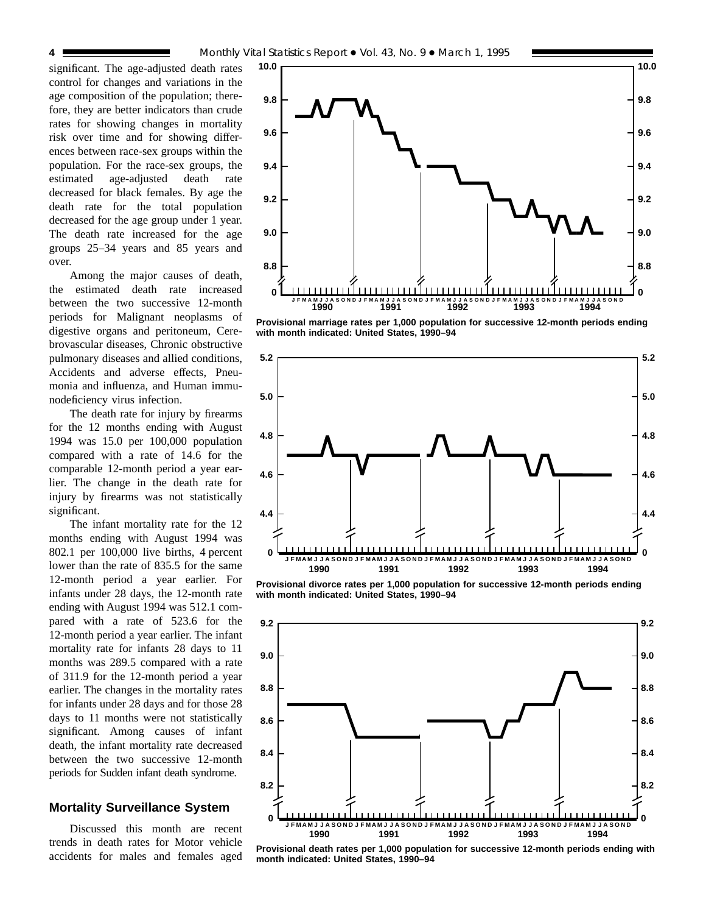significant. The age-adjusted death rates control for changes and variations in the age composition of the population; therefore, they are better indicators than crude rates for showing changes in mortality risk over time and for showing differences between race-sex groups within the population. For the race-sex groups, the estimated age-adjusted death rate decreased for black females. By age the death rate for the total population decreased for the age group under 1 year. The death rate increased for the age groups 25–34 years and 85 years and over.

Among the major causes of death, the estimated death rate increased between the two successive 12-month periods for Malignant neoplasms of digestive organs and peritoneum, Cerebrovascular diseases, Chronic obstructive pulmonary diseases and allied conditions, Accidents and adverse effects, Pneumonia and influenza, and Human immunodeficiency virus infection.

The death rate for injury by firearms for the 12 months ending with August 1994 was 15.0 per 100,000 population compared with a rate of 14.6 for the comparable 12-month period a year earlier. The change in the death rate for injury by firearms was not statistically significant.

The infant mortality rate for the 12 months ending with August 1994 was 802.1 per 100,000 live births, 4 percent lower than the rate of 835.5 for the same 12-month period a year earlier. For infants under 28 days, the 12-month rate ending with August 1994 was 512.1 compared with a rate of 523.6 for the 12-month period a year earlier. The infant mortality rate for infants 28 days to 11 months was 289.5 compared with a rate of 311.9 for the 12-month period a year earlier. The changes in the mortality rates for infants under 28 days and for those 28 days to 11 months were not statistically significant. Among causes of infant death, the infant mortality rate decreased between the two successive 12-month periods for Sudden infant death syndrome.

# **Mortality Surveillance System**

Discussed this month are recent trends in death rates for Motor vehicle accidents for males and females aged



**Provisional marriage rates per 1,000 population for successive 12-month periods ending with month indicated: United States, 1990–94**



**Provisional divorce rates per 1,000 population for successive 12-month periods ending with month indicated: United States, 1990–94**



**Provisional death rates per 1,000 population for successive 12-month periods ending with month indicated: United States, 1990–94**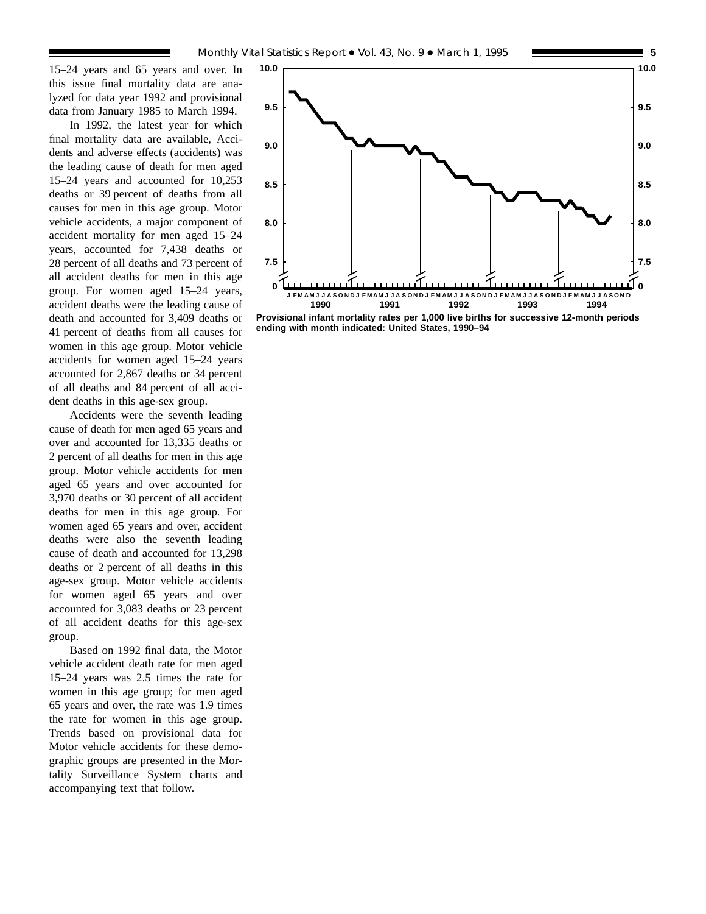15–24 years and 65 years and over. In this issue final mortality data are analyzed for data year 1992 and provisional data from January 1985 to March 1994.

In 1992, the latest year for which final mortality data are available, Accidents and adverse effects (accidents) was the leading cause of death for men aged 15–24 years and accounted for 10,253 deaths or 39 percent of deaths from all causes for men in this age group. Motor vehicle accidents, a major component of accident mortality for men aged 15–24 years, accounted for 7,438 deaths or 28 percent of all deaths and 73 percent of all accident deaths for men in this age group. For women aged 15–24 years, accident deaths were the leading cause of death and accounted for 3,409 deaths or 41 percent of deaths from all causes for women in this age group. Motor vehicle accidents for women aged 15–24 years accounted for 2,867 deaths or 34 percent of all deaths and 84 percent of all accident deaths in this age-sex group.

Accidents were the seventh leading cause of death for men aged 65 years and over and accounted for 13,335 deaths or 2 percent of all deaths for men in this age group. Motor vehicle accidents for men aged 65 years and over accounted for 3,970 deaths or 30 percent of all accident deaths for men in this age group. For women aged 65 years and over, accident deaths were also the seventh leading cause of death and accounted for 13,298 deaths or 2 percent of all deaths in this age-sex group. Motor vehicle accidents for women aged 65 years and over accounted for 3,083 deaths or 23 percent of all accident deaths for this age-sex group.

Based on 1992 final data, the Motor vehicle accident death rate for men aged 15–24 years was 2.5 times the rate for women in this age group; for men aged 65 years and over, the rate was 1.9 times the rate for women in this age group. Trends based on provisional data for Motor vehicle accidents for these demographic groups are presented in the Mortality Surveillance System charts and accompanying text that follow.



**Provisional infant mortality rates per 1,000 live births for successive 12-month periods ending with month indicated: United States, 1990–94**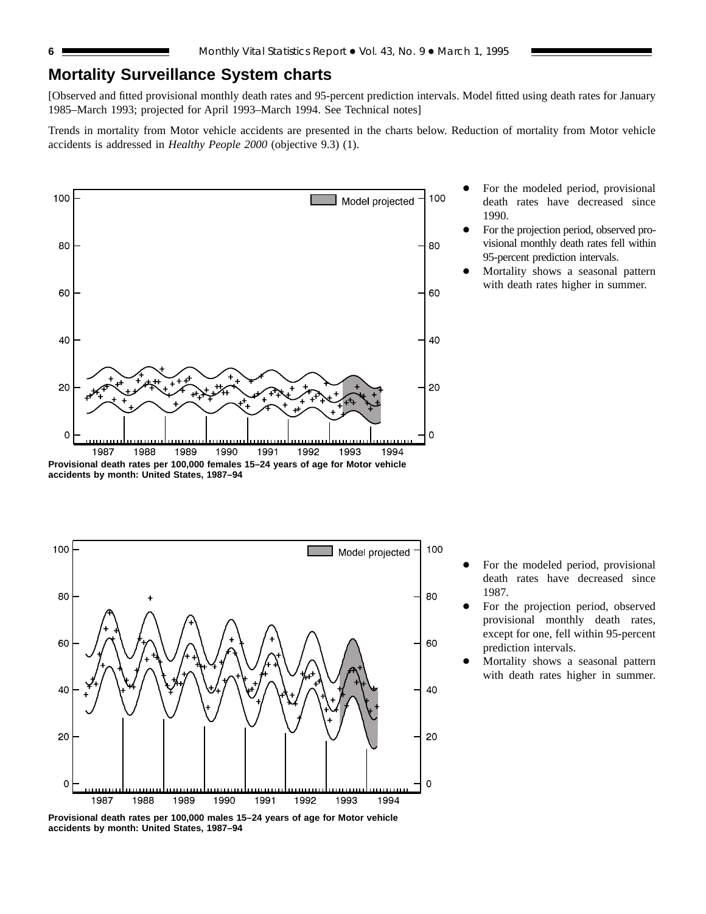# **Mortality Surveillance System charts**

[Observed and fitted provisional monthly death rates and 95-percent prediction intervals. Model fitted using death rates for January 1985–March 1993; projected for April 1993–March 1994. See Technical notes]

Trends in mortality from Motor vehicle accidents are presented in the charts below. Reduction of mortality from Motor vehicle accidents is addressed in *Healthy People 2000* (objective 9.3) (1).



- For the modeled period, provisional death rates have decreased since 1990.
- For the projection period, observed provisional monthly death rates fell within 95-percent prediction intervals.
- Mortality shows a seasonal pattern with death rates higher in summer.

**accidents by month: United States, 1987–94**



**Provisional death rates per 100,000 males 15–24 years of age for Motor vehicle accidents by month: United States, 1987–94**

- For the modeled period, provisional death rates have decreased since 1987.
- For the projection period, observed provisional monthly death rates, except for one, fell within 95-percent prediction intervals.
- Mortality shows a seasonal pattern with death rates higher in summer.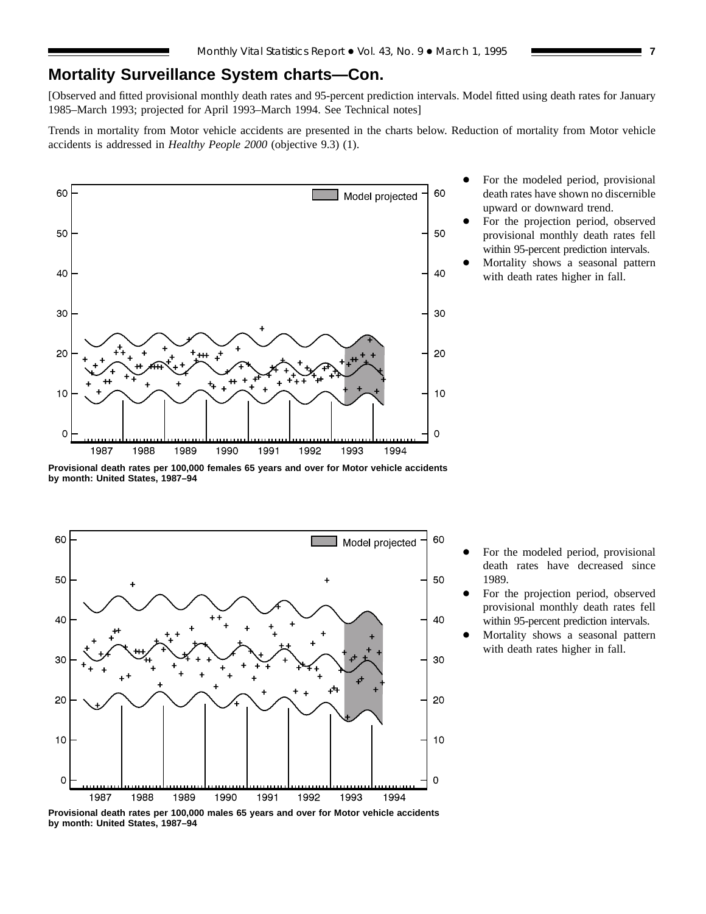# **Mortality Surveillance System charts—Con.**

[Observed and fitted provisional monthly death rates and 95-percent prediction intervals. Model fitted using death rates for January 1985–March 1993; projected for April 1993–March 1994. See Technical notes]

Trends in mortality from Motor vehicle accidents are presented in the charts below. Reduction of mortality from Motor vehicle accidents is addressed in *Healthy People 2000* (objective 9.3) (1).



- For the modeled period, provisional death rates have shown no discernible upward or downward trend.
- For the projection period, observed provisional monthly death rates fell within 95-percent prediction intervals.
- Mortality shows a seasonal pattern with death rates higher in fall.

**Provisional death rates per 100,000 females 65 years and over for Motor vehicle accidents by month: United States, 1987–94**



- For the modeled period, provisional death rates have decreased since 1989.
- For the projection period, observed provisional monthly death rates fell within 95-percent prediction intervals.
- Mortality shows a seasonal pattern with death rates higher in fall.

**Provisional death rates per 100,000 males 65 years and over for Motor vehicle accidents by month: United States, 1987–94**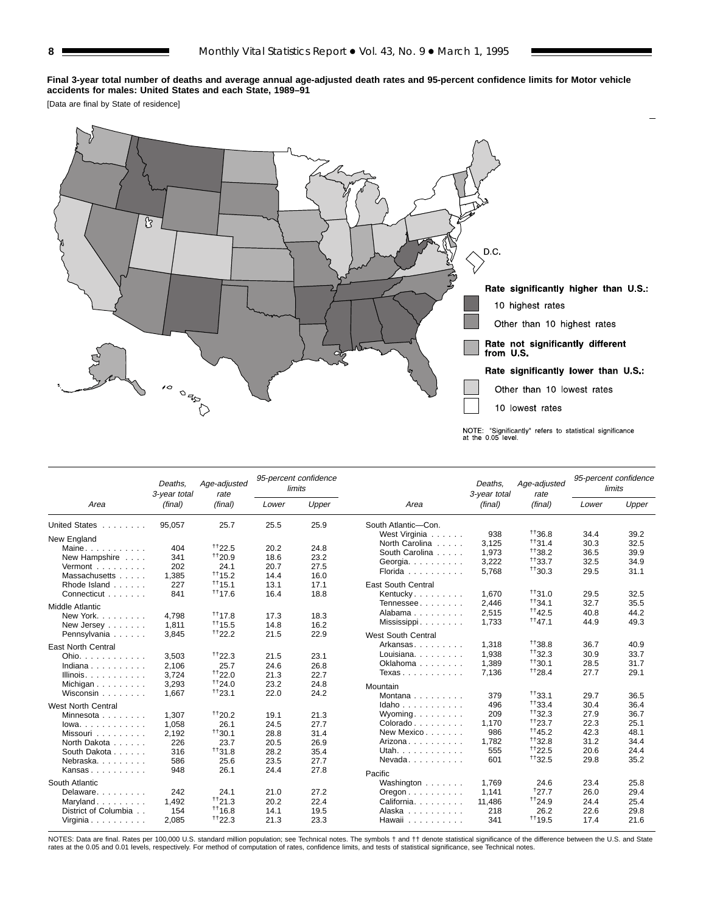#### **Final 3-year total number of deaths and average annual age-adjusted death rates and 95-percent confidence limits for Motor vehicle accidents for males: United States and each State, 1989–91**

[Data are final by State of residence]



|                              | Deaths.<br>3-year total | Age-adjusted<br>rate |       | 95-percent confidence<br>limits |                                        | Deaths.<br>3-year total | Age-adjusted<br>rate |       | 95-percent confidence<br>limits |
|------------------------------|-------------------------|----------------------|-------|---------------------------------|----------------------------------------|-------------------------|----------------------|-------|---------------------------------|
| Area                         | (final)                 | (final)              | Lower | Upper                           | Area                                   | (final)                 | (final)              | Lower | Upper                           |
| United States                | 95.057                  | 25.7                 | 25.5  | 25.9                            | South Atlantic-Con.                    |                         |                      |       |                                 |
| New England                  |                         |                      |       |                                 | West Virginia                          | 938                     | $+136.8$             | 34.4  | 39.2                            |
| Maine                        | 404                     | $+122.5$             | 20.2  | 24.8                            | North Carolina                         | 3,125                   | $^{++}$ 31.4         | 30.3  | 32.5                            |
| New Hampshire                | 341                     | $+120.9$             | 18.6  | 23.2                            | South Carolina                         | 1,973                   | $+138.2$             | 36.5  | 39.9                            |
| Vermont                      | 202                     | 24.1                 | 20.7  | 27.5                            | Georgia.                               | 3,222                   | $+133.7$             | 32.5  | 34.9                            |
| Massachusetts                | 1,385                   | $+115.2$             | 14.4  | 16.0                            | Florida                                | 5,768                   | $+130.3$             | 29.5  | 31.1                            |
| Rhode Island                 | 227                     | $+115.1$             | 13.1  | 17.1                            | <b>East South Central</b>              |                         |                      |       |                                 |
| Connecticut                  | 841                     | $^{++}$ 17.6         | 16.4  | 18.8                            | Kentucky                               | 1,670                   | $^{++}$ 31.0         | 29.5  | 32.5                            |
|                              |                         |                      |       |                                 | Tennessee                              | 2,446                   | $+134.1$             | 32.7  | 35.5                            |
| <b>Middle Atlantic</b>       |                         |                      |       |                                 | Alabama                                | 2,515                   | $^{++42.5}$          | 40.8  | 44.2                            |
| New York.                    | 4.798                   | $+117.8$             | 17.3  | 18.3                            | Mississippi                            | 1,733                   | $^{++47.1}$          | 44.9  | 49.3                            |
| New Jersey                   | 1,811                   | $+115.5$             | 14.8  | 16.2                            |                                        |                         |                      |       |                                 |
| Pennsylvania                 | 3,845                   | $^{++22.2}$          | 21.5  | 22.9                            | West South Central                     |                         |                      |       |                                 |
| <b>East North Central</b>    |                         |                      |       |                                 | Arkansas                               | 1.318                   | $+138.8$             | 36.7  | 40.9                            |
| Ohio.                        | 3,503                   | $+122.3$             | 21.5  | 23.1                            | Louisiana.                             | 1,938                   | $+132.3$             | 30.9  | 33.7                            |
| Indiana                      | 2.106                   | 25.7                 | 24.6  | 26.8                            | Oklahoma $\ldots$ , $\ldots$           | 1,389                   | $+130.1$             | 28.5  | 31.7                            |
| Illinois.                    | 3.724                   | $+122.0$             | 21.3  | 22.7                            | Texas                                  | 7,136                   | $^{++28.4}$          | 27.7  | 29.1                            |
| Michigan                     | 3,293                   | $+124.0$             | 23.2  | 24.8                            | Mountain                               |                         |                      |       |                                 |
| Wisconsin                    | 1,667                   | $+123.1$             | 22.0  | 24.2                            | Montana                                | 379                     | $+133.1$             | 29.7  | 36.5                            |
| <b>West North Central</b>    |                         |                      |       |                                 | Idaho                                  | 496                     | $+133.4$             | 30.4  | 36.4                            |
| Minnesota                    | 1.307                   | $+120.2$             | 19.1  | 21.3                            | Wyoming                                | 209                     | $+132.3$             | 27.9  | 36.7                            |
| $lowa.$                      | 1,058                   | 26.1                 | 24.5  | 27.7                            | Colorado                               | 1.170                   | $^{++23.7}$          | 22.3  | 25.1                            |
| Missouri                     | 2.192                   | $+130.1$             | 28.8  | 31.4                            | New Mexico                             | 986                     | $+145.2$             | 42.3  | 48.1                            |
| North Dakota                 | 226                     | 23.7                 | 20.5  | 26.9                            | Arizona                                | 1.782                   | $+132.8$             | 31.2  | 34.4                            |
| South Dakota                 | 316                     | $+131.8$             | 28.2  | 35.4                            | Utah.                                  | 555                     | $+122.5$             | 20.6  | 24.4                            |
| Nebraska.                    | 586                     | 25.6                 | 23.5  | 27.7                            | Nevada                                 | 601                     | $^{++}32.5$          | 29.8  | 35.2                            |
| Kansas                       | 948                     | 26.1                 | 24.4  | 27.8                            |                                        |                         |                      |       |                                 |
|                              |                         |                      |       |                                 | Pacific                                |                         |                      |       |                                 |
| South Atlantic               |                         |                      |       |                                 | Washington                             | 1.769                   | 24.6                 | 23.4  | 25.8                            |
| Delaware.                    | 242                     | 24.1                 | 21.0  | 27.2                            | $O$ regon $\ldots$ $\ldots$ $\ldots$ . | 1,141                   | $+27.7$              | 26.0  | 29.4                            |
| Maryland                     | 1.492                   | $^{++21.3}$          | 20.2  | 22.4                            | California.                            | 11.486                  | $^{++24.9}$          | 24.4  | 25.4                            |
| District of Columbia         | 154                     | $+116.8$             | 14.1  | 19.5                            | Alaska                                 | 218                     | 26.2                 | 22.6  | 29.8                            |
| Virginia $\ldots$ , $\ldots$ | 2,085                   | $+122.3$             | 21.3  | 23.3                            | Hawaii                                 | 341                     | $+119.5$             | 17.4  | 21.6                            |

NOTES: Data are final. Rates per 100,000 U.S. standard million population; see Technical notes. The symbols † and †† denote statistical significance of the difference between the U.S. and State<br>rates at the 0.05 and 0.01 l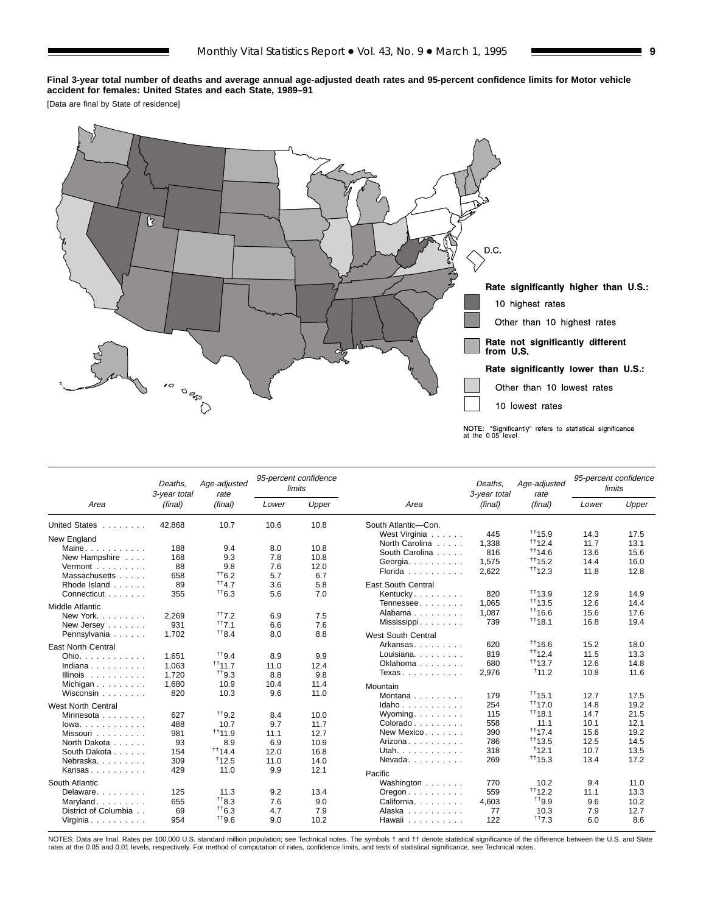#### **Final 3-year total number of deaths and average annual age-adjusted death rates and 95-percent confidence limits for Motor vehicle accident for females: United States and each State, 1989–91**

[Data are final by State of residence]



|                                            | Deaths,<br>3-year total | Age-adjusted<br>rate |       | 95-percent confidence<br>limits |                                          | Deaths.<br>3-year total | Age-adjusted<br>rate |       | 95-percent confidence<br>limits |
|--------------------------------------------|-------------------------|----------------------|-------|---------------------------------|------------------------------------------|-------------------------|----------------------|-------|---------------------------------|
| Area                                       | (final)                 | (final)              | Lower | Upper                           | Area                                     | (final)                 | (final)              | Lower | Upper                           |
| <b>United States</b><br>and a straight and | 42.868                  | 10.7                 | 10.6  | 10.8                            | South Atlantic-Con.                      |                         |                      |       |                                 |
| New England                                |                         |                      |       |                                 | West Virginia                            | 445                     | $+115.9$             | 14.3  | 17.5                            |
| Maine                                      | 188                     | 9.4                  | 8.0   | 10.8                            | North Carolina                           | 1.338                   | $^{++}$ 12.4         | 11.7  | 13.1                            |
| New Hampshire                              | 168                     | 9.3                  | 7.8   | 10.8                            | South Carolina                           | 816                     | $+114.6$             | 13.6  | 15.6                            |
| Vermont                                    | 88                      | 9.8                  | 7.6   | 12.0                            | Georgia                                  | 1,575                   | $+115.2$             | 14.4  | 16.0                            |
| Massachusetts                              | 658                     | $+6.2$               | 5.7   | 6.7                             | Florida                                  | 2,622                   | $+112.3$             | 11.8  | 12.8                            |
| Rhode Island                               | 89                      | $^{++}4.7$           | 3.6   | 5.8                             | <b>East South Central</b>                |                         |                      |       |                                 |
| Connecticut                                | 355                     | $^{++6.3}$           | 5.6   | 7.0                             | Kentucky                                 | 820                     | $^{++}$ 13.9         | 12.9  | 14.9                            |
|                                            |                         |                      |       |                                 | Tennessee                                | 1,065                   | $+113.5$             | 12.6  | 14.4                            |
| <b>Middle Atlantic</b>                     |                         |                      |       |                                 | Alabama                                  | 1,087                   | $+116.6$             | 15.6  | 17.6                            |
| New York<br>1.1.1.1.1.1                    | 2.269                   | $^{++7.2}$           | 6.9   | 7.5                             | Mississippi                              | 739                     | $+118.1$             | 16.8  | 19.4                            |
| New Jersey                                 | 931                     | $^{++}7.1$           | 6.6   | 7.6                             |                                          |                         |                      |       |                                 |
| Pennsylvania                               | 1.702                   | $^{++}8.4$           | 8.0   | 8.8                             | West South Central                       |                         |                      |       |                                 |
| <b>East North Central</b>                  |                         |                      |       |                                 | Arkansas                                 | 620                     | $*16.6$              | 15.2  | 18.0                            |
| Ohio.                                      | 1.651                   | $^{++9.4}$           | 8.9   | 9.9                             | Louisiana. $\ldots$ .                    | 819                     | $+112.4$             | 11.5  | 13.3                            |
| Indiana                                    | 1.063                   | $^{++}$ 11.7         | 11.0  | 12.4                            | Oklahoma                                 | 680                     | $+113.7$             | 12.6  | 14.8                            |
| Illinois. $\ldots$ .                       | 1,720                   | $+19.3$              | 8.8   | 9.8                             | Texas                                    | 2,976                   | 11.2                 | 10.8  | 11.6                            |
| Michigan $\ldots$ , $\ldots$               | 1,680                   | 10.9                 | 10.4  | 11.4                            |                                          |                         |                      |       |                                 |
| Wisconsin                                  | 820                     | 10.3                 | 9.6   | 11.0                            | Mountain                                 |                         |                      |       |                                 |
|                                            |                         |                      |       |                                 | Montana $\ldots$ , $\ldots$              | 179                     | $^{++}$ 15.1         | 12.7  | 17.5                            |
| <b>West North Central</b>                  |                         |                      |       |                                 | $Idaho \ldots \ldots \ldots$             | 254                     | $+117.0$             | 14.8  | 19.2                            |
| Minnesota                                  | 627                     | $^{++9.2}$           | 8.4   | 10.0                            | Wyoming                                  | 115                     | $+118.1$             | 14.7  | 21.5                            |
| $lowa. \ldots. \ldots.$                    | 488                     | 10.7                 | 9.7   | 11.7                            | Colorado                                 | 558                     | 11.1                 | 10.1  | 12.1                            |
| Missouri                                   | 981                     | $^{++}$ 11.9         | 11.1  | 12.7                            | New Mexico                               | 390                     | $+117.4$             | 15.6  | 19.2                            |
| North Dakota                               | 93                      | 8.9                  | 6.9   | 10.9                            | Arizona                                  | 786                     | $+113.5$             | 12.5  | 14.5                            |
| South Dakota                               | 154                     | $+114.4$             | 12.0  | 16.8                            | Utah.                                    | 318                     | $+12.1$              | 10.7  | 13.5                            |
| Nebraska.                                  | 309                     | $*12.5$              | 11.0  | 14.0                            | Nevada                                   | 269                     | $^{++1}$ 15.3        | 13.4  | 17.2                            |
| Kansas                                     | 429                     | 11.0                 | 9.9   | 12.1                            | Pacific                                  |                         |                      |       |                                 |
| South Atlantic                             |                         |                      |       |                                 | Washington                               | 770                     | 10.2                 | 9.4   | 11.0                            |
| Delaware                                   | 125                     | 11.3                 | 9.2   | 13.4                            | $O$ regon $\ldots$ , $\ldots$ , $\ldots$ | 559                     | $+112.2$             | 11.1  | 13.3                            |
| Maryland                                   | 655                     | $^{++}8.3$           | 7.6   | 9.0                             | California.                              | 4,603                   | $^{++}9.9$           | 9.6   | 10.2                            |
| District of Columbia                       | 69                      | $+16.3$              | 4.7   | 7.9                             | Alaska                                   | 77                      | 10.3                 | 7.9   | 12.7                            |
| Virginia                                   | 954                     | $+19.6$              | 9.0   | 10.2                            | Hawaii                                   | 122                     | $+17.3$              | 6.0   | 8.6                             |
|                                            |                         |                      |       |                                 |                                          |                         |                      |       |                                 |

NOTES: Data are final. Rates per 100,000 U.S. standard million population; see Technical notes. The symbols † and †† denote statistical significance of the difference between the U.S. and State<br>rates at the 0.05 and 0.01 l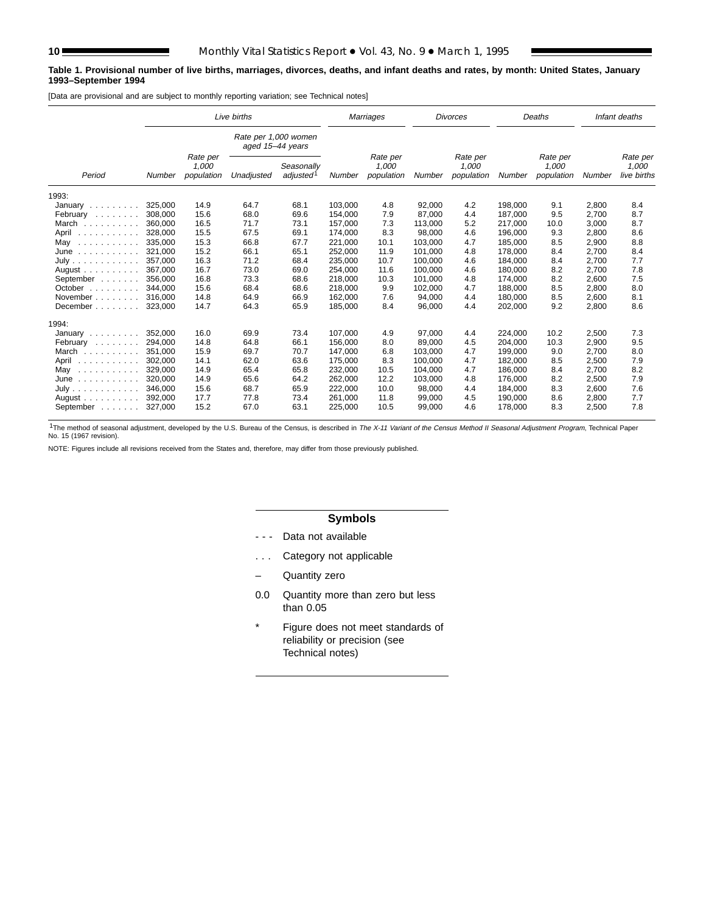#### **Table 1. Provisional number of live births, marriages, divorces, deaths, and infant deaths and rates, by month: United States, January 1993–September 1994**

[Data are provisional and are subject to monthly reporting variation; see Technical notes]

|                                       |         |                                 | Live births                              |                                     |         | Marriages                       |         | <b>Divorces</b>                 |         | Deaths                          |        | Infant deaths                    |
|---------------------------------------|---------|---------------------------------|------------------------------------------|-------------------------------------|---------|---------------------------------|---------|---------------------------------|---------|---------------------------------|--------|----------------------------------|
|                                       |         |                                 | Rate per 1,000 women<br>aged 15-44 years |                                     |         |                                 |         |                                 |         |                                 |        |                                  |
| Period                                | Number  | Rate per<br>1,000<br>population | Unadjusted                               | Seasonally<br>adjusted <sup>1</sup> | Number  | Rate per<br>1,000<br>population | Number  | Rate per<br>1,000<br>population | Number  | Rate per<br>1,000<br>population | Number | Rate per<br>1,000<br>live births |
| 1993:                                 |         |                                 |                                          |                                     |         |                                 |         |                                 |         |                                 |        |                                  |
| January                               | 325,000 | 14.9                            | 64.7                                     | 68.1                                | 103,000 | 4.8                             | 92,000  | 4.2                             | 198,000 | 9.1                             | 2,800  | 8.4                              |
| February                              | 308,000 | 15.6                            | 68.0                                     | 69.6                                | 154.000 | 7.9                             | 87,000  | 4.4                             | 187.000 | 9.5                             | 2.700  | 8.7                              |
| March                                 | 360.000 | 16.5                            | 71.7                                     | 73.1                                | 157,000 | 7.3                             | 113,000 | 5.2                             | 217.000 | 10.0                            | 3,000  | 8.7                              |
| April                                 | 328,000 | 15.5                            | 67.5                                     | 69.1                                | 174,000 | 8.3                             | 98,000  | 4.6                             | 196,000 | 9.3                             | 2,800  | 8.6                              |
| May<br>.                              | 335.000 | 15.3                            | 66.8                                     | 67.7                                | 221,000 | 10.1                            | 103.000 | 4.7                             | 185.000 | 8.5                             | 2,900  | 8.8                              |
| June<br>.                             | 321,000 | 15.2                            | 66.1                                     | 65.1                                | 252,000 | 11.9                            | 101,000 | 4.8                             | 178,000 | 8.4                             | 2,700  | 8.4                              |
| July                                  | 357.000 | 16.3                            | 71.2                                     | 68.4                                | 235,000 | 10.7                            | 100,000 | 4.6                             | 184.000 | 8.4                             | 2,700  | 7.7                              |
| August $\ldots$ , $\ldots$ , $\ldots$ | 367,000 | 16.7                            | 73.0                                     | 69.0                                | 254,000 | 11.6                            | 100,000 | 4.6                             | 180,000 | 8.2                             | 2,700  | 7.8                              |
| September                             | 356.000 | 16.8                            | 73.3                                     | 68.6                                | 218,000 | 10.3                            | 101,000 | 4.8                             | 174,000 | 8.2                             | 2,600  | 7.5                              |
| October                               | 344.000 | 15.6                            | 68.4                                     | 68.6                                | 218.000 | 9.9                             | 102,000 | 4.7                             | 188.000 | 8.5                             | 2,800  | 8.0                              |
| November                              | 316,000 | 14.8                            | 64.9                                     | 66.9                                | 162,000 | 7.6                             | 94,000  | 4.4                             | 180,000 | 8.5                             | 2,600  | 8.1                              |
| December                              | 323,000 | 14.7                            | 64.3                                     | 65.9                                | 185,000 | 8.4                             | 96,000  | 4.4                             | 202,000 | 9.2                             | 2,800  | 8.6                              |
| 1994:                                 |         |                                 |                                          |                                     |         |                                 |         |                                 |         |                                 |        |                                  |
| January                               | 352,000 | 16.0                            | 69.9                                     | 73.4                                | 107,000 | 4.9                             | 97,000  | 4.4                             | 224,000 | 10.2                            | 2,500  | 7.3                              |
| February                              | 294.000 | 14.8                            | 64.8                                     | 66.1                                | 156.000 | 8.0                             | 89.000  | 4.5                             | 204.000 | 10.3                            | 2,900  | 9.5                              |
| March                                 | 351,000 | 15.9                            | 69.7                                     | 70.7                                | 147,000 | 6.8                             | 103,000 | 4.7                             | 199,000 | 9.0                             | 2,700  | 8.0                              |
| April<br>.                            | 302,000 | 14.1                            | 62.0                                     | 63.6                                | 175,000 | 8.3                             | 100,000 | 4.7                             | 182,000 | 8.5                             | 2,500  | 7.9                              |
| May<br>.                              | 329,000 | 14.9                            | 65.4                                     | 65.8                                | 232,000 | 10.5                            | 104,000 | 4.7                             | 186,000 | 8.4                             | 2,700  | 8.2                              |
| June<br>.                             | 320.000 | 14.9                            | 65.6                                     | 64.2                                | 262,000 | 12.2                            | 103,000 | 4.8                             | 176.000 | 8.2                             | 2,500  | 7.9                              |
| July                                  | 346,000 | 15.6                            | 68.7                                     | 65.9                                | 222,000 | 10.0                            | 98,000  | 4.4                             | 184,000 | 8.3                             | 2,600  | 7.6                              |
| August $\ldots$ , $\ldots$ , $\ldots$ | 392,000 | 17.7                            | 77.8                                     | 73.4                                | 261,000 | 11.8                            | 99,000  | 4.5                             | 190,000 | 8.6                             | 2,800  | 7.7                              |
| September                             | 327,000 | 15.2                            | 67.0                                     | 63.1                                | 225,000 | 10.5                            | 99,000  | 4.6                             | 178,000 | 8.3                             | 2,500  | 7.8                              |

<sup>1</sup>The method of seasonal adjustment, developed by the U.S. Bureau of the Census, is described in The X-11 Variant of the Census Method II Seasonal Adjustment Program, Technical Paper No. 15 (1967 revision).

NOTE: Figures include all revisions received from the States and, therefore, may differ from those previously published.

# **Symbols**

- - Data not available
- . . . Category not applicable
- Quantity zero
- 0.0 Quantity more than zero but less than 0.05
- \* Figure does not meet standards of reliability or precision (see Technical notes)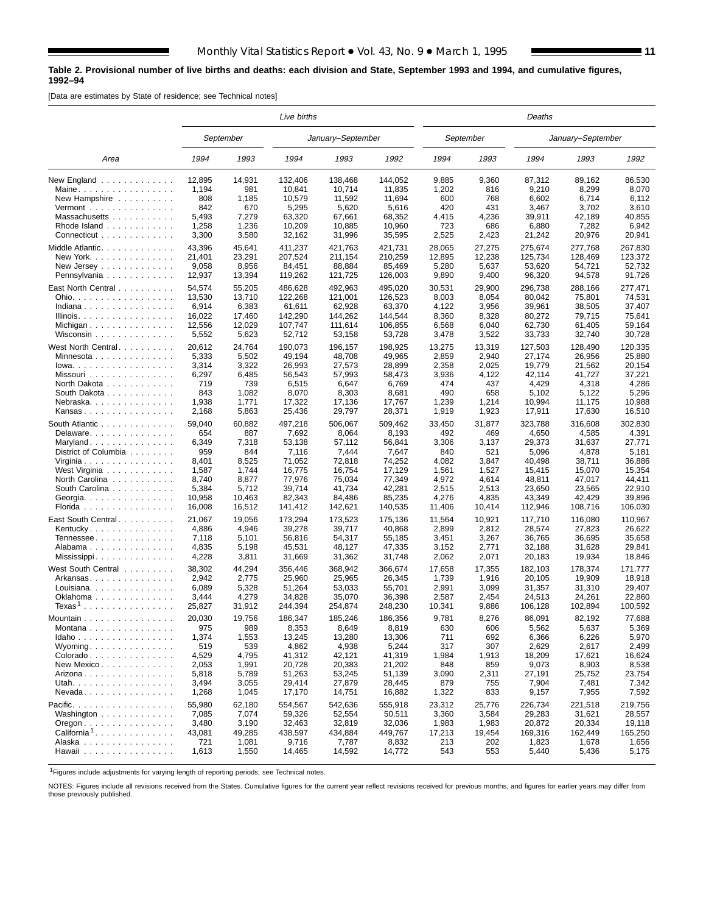#### **Table 2. Provisional number of live births and deaths: each division and State, September 1993 and 1994, and cumulative figures, 1992–94**

[Data are estimates by State of residence; see Technical notes]

|                                                                 |                |                | Live births      |                   |                  |               |                | Deaths           |                   |                  |
|-----------------------------------------------------------------|----------------|----------------|------------------|-------------------|------------------|---------------|----------------|------------------|-------------------|------------------|
|                                                                 |                | September      |                  | January-September |                  |               | September      |                  | January-September |                  |
| Area                                                            | 1994           | 1993           | 1994             | 1993              | 1992             | 1994          | 1993           | 1994             | 1993              | 1992             |
| New England                                                     | 12,895         | 14,931         | 132,406          | 138,468           | 144,052          | 9,885         | 9,360          | 87,312           | 89,162            | 86,530           |
| Maine                                                           | 1,194          | 981            | 10,841           | 10,714            | 11,835           | 1,202         | 816            | 9,210            | 8,299             | 8,070            |
| New Hampshire $\ldots$                                          | 808            | 1,185          | 10,579           | 11,592            | 11,694           | 600           | 768            | 6,602            | 6,714             | 6.112            |
| $Vermont$                                                       | 842            | 670            | 5,295            | 5,620             | 5,616            | 420           | 431            | 3,467            | 3,702             | 3,610            |
| Massachusetts                                                   | 5,493          | 7,279          | 63,320           | 67,661            | 68,352           | 4,415         | 4,236          | 39,911           | 42,189            | 40,855           |
| Rhode Island                                                    | 1,258          | 1,236          | 10,209           | 10,885            | 10,960           | 723           | 686            | 6,880            | 7,282             | 6,942            |
| Connecticut                                                     | 3,300          | 3,580          | 32,162           | 31,996            | 35,595           | 2,525         | 2,423          | 21,242           | 20,976            | 20,941           |
| Middle Atlantic.                                                | 43,396         | 45,641         | 411,237          | 421,763           | 421,731          | 28,065        | 27,275         | 275,674          | 277,768           | 267,830          |
| New York.                                                       | 21,401         | 23,291         | 207,524          | 211,154           | 210,259          | 12,895        | 12,238         | 125,734          | 128,469           | 123,372          |
| New Jersey $\ldots$ $\ldots$ $\ldots$ $\ldots$ .                | 9,058          | 8,956          | 84,451           | 88,884            | 85,469           | 5,280         | 5,637          | 53,620           | 54,721            | 52,732           |
| Pennsylvania                                                    | 12,937         | 13,394         | 119,262          | 121,725           | 126,003          | 9,890         | 9,400          | 96,320           | 94,578            | 91,726           |
| East North Central                                              | 54,574         | 55,205         | 486,628          | 492,963           | 495,020          | 30,531        | 29,900         | 296,738          | 288,166           | 277,471          |
| Ohio.                                                           | 13,530         | 13,710         | 122,268          | 121,001           | 126,523          | 8,003         | 8,054          | 80,042           | 75,801            | 74,531           |
| Indiana                                                         | 6,914          | 6,383          | 61,611           | 62,928            | 63,370           | 4,122         | 3,956          | 39,961           | 38,505            | 37,407           |
| Illinois.                                                       | 16,022         | 17,460         | 142,290          | 144,262           | 144,544          | 8,360         | 8,328          | 80,272           | 79,715            | 75,641           |
| Michigan                                                        | 12,556         | 12,029         | 107,747          | 111,614           | 106,855          | 6,568         | 6,040          | 62,730           | 61,405            | 59,164           |
| Wisconsin                                                       | 5,552          | 5,623          | 52,712           | 53,158            | 53,728           | 3,478         | 3,522          | 33,733           | 32,740            | 30,728           |
| West North Central                                              | 20,612         | 24,764         | 190,073          | 196,157           | 198,925          | 13,275        | 13,319         | 127,503          | 128,490           | 120,335          |
| Minnesota                                                       | 5,333          | 5,502          | 49,194           | 48,708            | 49,965           | 2,859         | 2,940          | 27,174           | 26,956            | 25,880           |
| $Iowa.$                                                         | 3,314          | 3,322          | 26,993           | 27,573            | 28,899           | 2,358         | 2,025          | 19,779           | 21,562            | 20,154           |
| Missouri                                                        | 6,297          | 6,485          | 56,543           | 57,993            | 58,473           | 3,936         | 4,122          | 42,114           | 41,727            | 37,221           |
| North Dakota                                                    | 719            | 739            | 6,515            | 6,647             | 6,769            | 474           | 437            | 4,429            | 4,318             | 4,286            |
| South Dakota                                                    | 843            | 1,082          | 8,070            | 8,303             | 8,681            | 490           | 658            | 5,102            | 5,122             | 5,296            |
| Nebraska                                                        | 1,938          | 1,771          | 17,322           | 17.136            | 17,767           | 1,239         | 1,214          | 10,994           | 11.175            | 10,988           |
| Kansas                                                          | 2,168          | 5,863          | 25,436           | 29,797            | 28,371           | 1,919         | 1,923          | 17,911           | 17,630            | 16,510           |
| South Atlantic                                                  | 59,040         | 60,882         | 497,218          | 506,067           |                  |               |                | 323,788          | 316,608           | 302.830          |
| Delaware                                                        | 654            | 887            | 7,692            | 8,064             | 509,462<br>8,193 | 33,450<br>492 | 31,877<br>469  | 4,650            | 4,585             | 4,391            |
| Maryland                                                        | 6,349          | 7,318          | 53,138           | 57,112            | 56,841           | 3,306         | 3,137          | 29,373           | 31,637            | 27,771           |
| District of Columbia                                            | 959            | 844            | 7,116            | 7,444             | 7,647            | 840           | 521            | 5,096            | 4,878             | 5,181            |
| Virginia                                                        | 8,401          | 8,525          | 71,052           | 72,818            | 74,252           | 4,082         | 3,847          | 40,498           | 38,711            | 36,886           |
| West Virginia                                                   | 1,587          | 1,744          | 16,775           | 16,754            | 17,129           | 1,561         | 1,527          | 15,415           | 15,070            | 15,354           |
| North Carolina                                                  | 8,740          | 8,877          | 77,976           | 75,034            | 77,349           | 4,972         | 4,614          | 48,811           | 47,017            | 44,411           |
| South Carolina                                                  | 5,384          | 5,712          | 39,714           | 41,734            | 42,281           | 2,515         | 2,513          | 23,650           | 23,565            | 22,910           |
| Georgia.                                                        | 10,958         | 10,463         | 82,343           | 84,486            | 85,235           | 4,276         | 4,835          | 43,349           | 42,429            | 39,896           |
| Florida                                                         | 16,008         | 16,512         | 141,412          | 142,621           | 140,535          | 11,406        | 10,414         | 112,946          | 108,716           | 106,030          |
|                                                                 | 21,067         | 19,056         | 173,294          | 173,523           | 175,136          | 11,564        | 10,921         | 117,710          | 116,080           | 110,967          |
| East South Central                                              | 4,886          | 4,946          | 39,278           | 39,717            | 40,868           | 2,899         | 2,812          | 28,574           | 27,823            | 26,622           |
| Kentucky                                                        |                |                |                  |                   |                  | 3,451         |                |                  |                   |                  |
| Tennessee                                                       | 7,118<br>4,835 | 5,101<br>5,198 | 56,816<br>45,531 | 54,317<br>48,127  | 55,185<br>47,335 | 3,152         | 3,267<br>2,771 | 36,765<br>32,188 | 36,695<br>31,628  | 35,658<br>29,841 |
| Alabama                                                         | 4,228          | 3,811          | 31,669           | 31,362            | 31,748           | 2,062         | 2,071          | 20,183           | 19,934            | 18,846           |
| Mississippi                                                     |                |                |                  |                   |                  |               |                |                  |                   |                  |
| West South Central ........                                     | 38,302         | 44,294         | 356,446          | 368.942           | 366,674          | 17,658        | 17,355         | 182.103          | 178,374           | 171,777          |
| Arkansas                                                        | 2,942          | 2,775          | 25,960           | 25.965            | 26,345           | 1,739         | 1,916          | 20,105           | 19,909            | 18,918           |
| Louisiana                                                       | 6,089          | 5,328          | 51,264           | 53,033            | 55,701           | 2,991         | 3,099          | 31,357           | 31,310            | 29,407           |
| Oklahoma                                                        | 3,444          | 4,279          | 34,828           | 35,070            | 36,398           | 2,587         | 2,454          | 24,513           | 24,261            | 22,860           |
| $T$ exas $^1$                                                   | 25,827         | 31,912         | 244,394          | 254,874           | 248,230          | 10,341        | 9,886          | 106,128          | 102,894           | 100,592          |
| Mountain                                                        | 20,030         | 19,756         | 186,347          | 185,246           | 186,356          | 9,781         | 8,276          | 86,091           | 82,192            | 77,688           |
| Montana                                                         | 975            | 989            | 8,353            | 8,649             | 8,819            | 630           | 606            | 5,562            | 5,637             | 5,369            |
| Idaho                                                           | 1,374          | 1,553          | 13,245           | 13,280            | 13,306           | 711           | 692            | 6,366            | 6,226             | 5,970            |
| Wyoming                                                         | 519            | 539            | 4,862            | 4,938             | 5,244            | 317           | 307            | 2,629            | 2,617             | 2,499            |
| Colorado                                                        | 4,529          | 4,795          | 41,312           | 42,121            | 41,319           | 1,984         | 1,913          | 18,209           | 17,621            | 16,624           |
| New Mexico                                                      | 2,053          | 1,991          | 20,728           | 20,383            | 21,202           | 848           | 859            | 9,073            | 8,903             | 8,538            |
| Arizona                                                         | 5,818          | 5,789          | 51,263           | 53,245            | 51,139           | 3,090         | 2,311          | 27,191           | 25,752            | 23,754           |
| Utah.                                                           | 3,494          | 3,055          | 29,414           | 27,879            | 28,445           | 879           | 755            | 7,904            | 7,481             | 7,342            |
| $N$ evada                                                       | 1,268          | 1,045          | 17,170           | 14,751            | 16,882           | 1,322         | 833            | 9,157            | 7,955             | 7,592            |
| Pacific.                                                        | 55,980         | 62,180         | 554,567          | 542,636           | 555,918          | 23,312        | 25,776         | 226,734          | 221,518           | 219,756          |
| Washington                                                      | 7,085          | 7,074          | 59,326           | 52,554            | 50,511           | 3,360         | 3,584          | 29,283           | 31,621            | 28,557           |
| $O$ regon $\ldots$ $\ldots$ $\ldots$ $\ldots$ $\ldots$ $\ldots$ | 3,480          | 3,190          | 32,463           | 32,819            | 32,036           | 1,983         | 1,983          | 20,872           | 20,334            | 19,118           |
| California <sup>1</sup>                                         | 43,081         | 49,285         | 438,597          | 434,884           | 449,767          | 17,213        | 19,454         | 169,316          | 162,449           | 165,250          |
| Alaska                                                          | 721            | 1,081          | 9,716            | 7,787             | 8,832            | 213           | 202            | 1,823            | 1,678             | 1,656            |
| Hawaii                                                          | 1,613          | 1,550          | 14,465           | 14,592            | 14,772           | 543           | 553            | 5,440            | 5,436             | 5,175            |
|                                                                 |                |                |                  |                   |                  |               |                |                  |                   |                  |

1Figures include adjustments for varying length of reporting periods; see Technical notes.

NOTES: Figures include all revisions received from the States. Cumulative figures for the current year reflect revisions received for previous months, and figures for earlier years may differ from those previously published.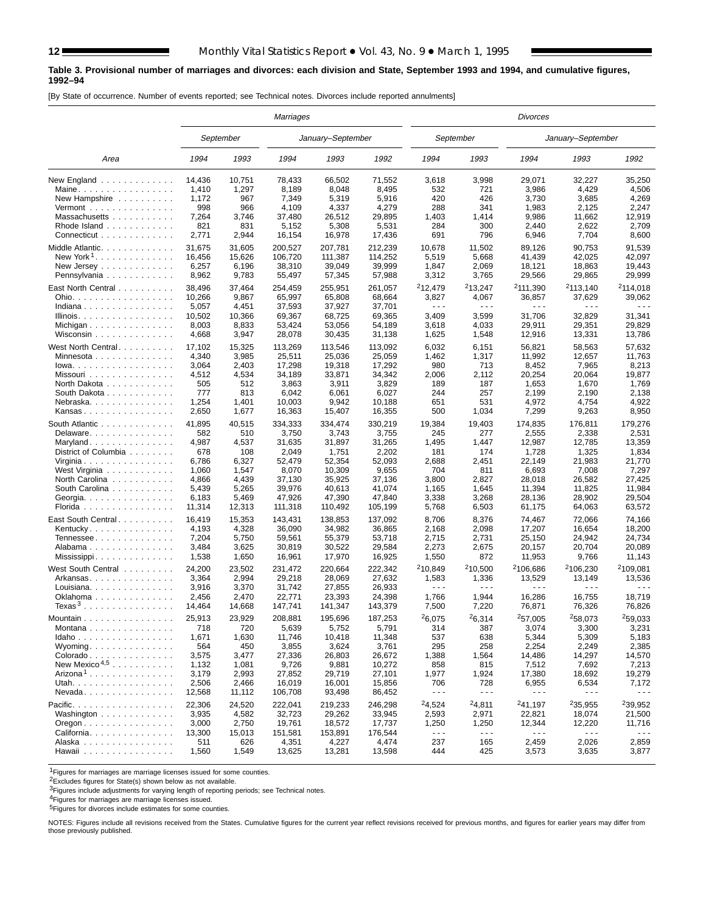#### **Table 3. Provisional number of marriages and divorces: each division and State, September 1993 and 1994, and cumulative figures, 1992–94**

[By State of occurrence. Number of events reported; see Technical notes. Divorces include reported annulments]

|                                                          |        |           | <b>Marriages</b> |                   |         |                      |                      | Divorces             |                      |                      |
|----------------------------------------------------------|--------|-----------|------------------|-------------------|---------|----------------------|----------------------|----------------------|----------------------|----------------------|
|                                                          |        | September |                  | January-September |         |                      | September            |                      | January-September    |                      |
| Area                                                     | 1994   | 1993      | 1994             | 1993              | 1992    | 1994                 | 1993                 | 1994                 | 1993                 | 1992                 |
| New England                                              | 14,436 | 10,751    | 78,433           | 66,502            | 71,552  | 3,618                | 3,998                | 29,071               | 32,227               | 35,250               |
| Maine                                                    | 1,410  | 1,297     | 8,189            | 8,048             | 8,495   | 532                  | 721                  | 3,986                | 4,429                | 4,506                |
| New Hampshire                                            | 1,172  | 967       | 7,349            | 5,319             | 5,916   | 420                  | 426                  | 3,730                | 3,685                | 4,269                |
| Vermont $\dots\dots\dots\dots\dots\dots$                 | 998    | 966       | 4,109            | 4,337             | 4,279   | 288                  | 341                  | 1,983                | 2,125                | 2,247                |
| Massachusetts                                            | 7,264  | 3,746     | 37,480           | 26,512            | 29,895  | 1,403                | 1,414                | 9,986                | 11,662               | 12,919               |
| Rhode Island                                             | 821    | 831       | 5,152            | 5,308             | 5,531   | 284                  | 300                  | 2,440                | 2,622                | 2,709                |
| Connecticut                                              | 2,771  | 2,944     | 16,154           | 16,978            | 17,436  | 691                  | 796                  | 6,946                | 7,704                | 8,600                |
| Middle Atlantic.                                         | 31,675 | 31,605    | 200,527          | 207,781           | 212,239 | 10,678               | 11,502               | 89,126               | 90,753               | 91,539               |
| New York <sup>1</sup>                                    | 16,456 | 15,626    | 106,720          | 111,387           | 114,252 | 5,519                | 5,668                | 41,439               | 42,025               | 42,097               |
| New Jersey                                               | 6,257  | 6,196     | 38,310           | 39,049            | 39,999  | 1,847                | 2,069                | 18,121               | 18,863               | 19,443               |
| Pennsylvania                                             | 8,962  | 9,783     | 55,497           | 57,345            | 57,988  | 3,312                | 3,765                | 29,566               | 29,865               | 29,999               |
|                                                          |        |           |                  |                   |         |                      |                      |                      |                      |                      |
| East North Central                                       | 38,496 | 37,464    | 254,459          | 255,951           | 261,057 | <sup>2</sup> 12,479  | <sup>2</sup> 13.247  | <sup>2</sup> 111,390 | <sup>2</sup> 113,140 | $2$ 114,018          |
| Ohio.                                                    | 10,266 | 9,867     | 65,997           | 65,808            | 68,664  | 3,827                | 4,067                | 36,857               | 37,629               | 39,062               |
| Indiana                                                  | 5,057  | 4,451     | 37,593           | 37,927            | 37,701  | $\sim$ $\sim$ $\sim$ | $\sim$ $\sim$ $\sim$ | $\sim$ $\sim$ $\sim$ | $\sim$ $\sim$ $\sim$ | .                    |
| Illinois.                                                | 10,502 | 10,366    | 69,367           | 68,725            | 69,365  | 3,409                | 3,599                | 31,706               | 32,829               | 31,341               |
| Michigan                                                 | 8,003  | 8,833     | 53,424           | 53,056            | 54,189  | 3,618                | 4,033                | 29,911               | 29,351               | 29,829               |
| Wisconsin                                                | 4,668  | 3,947     | 28,078           | 30,435            | 31,138  | 1,625                | 1,548                | 12,916               | 13,331               | 13,786               |
| West North Central                                       | 17,102 | 15,325    | 113,269          | 113,546           | 113.092 | 6,032                | 6,151                | 56,821               | 58,563               | 57.632               |
| Minnesota                                                | 4,340  | 3,985     | 25,511           | 25,036            | 25,059  | 1,462                | 1,317                | 11,992               | 12,657               | 11,763               |
| $lowa.$                                                  | 3,064  | 2,403     | 17,298           | 19,318            | 17,292  | 980                  | 713                  | 8,452                | 7,965                | 8,213                |
| Missouri                                                 | 4,512  | 4,534     | 34,189           | 33,871            | 34,342  | 2,006                | 2,112                | 20,254               | 20,064               | 19,877               |
| North Dakota                                             | 505    | 512       | 3,863            | 3,911             | 3,829   | 189                  | 187                  | 1,653                | 1,670                | 1,769                |
| South Dakota                                             | 777    | 813       | 6,042            | 6,061             | 6,027   | 244                  | 257                  | 2,199                | 2,190                | 2,138                |
| Nebraska                                                 | 1,254  | 1,401     | 10,003           | 9,942             | 10,188  | 651                  | 531                  | 4,972                | 4,754                | 4,922                |
| Kansas                                                   | 2,650  | 1,677     | 16,363           | 15,407            | 16,355  | 500                  | 1,034                | 7,299                | 9,263                | 8,950                |
| South Atlantic                                           | 41,895 | 40,515    | 334,333          | 334,474           | 330,219 | 19,384               | 19,403               | 174,835              | 176,811              | 179,276              |
| Delaware.                                                | 582    | 510       | 3,750            | 3,743             | 3,755   | 245                  | 277                  | 2,555                | 2,338                | 2,531                |
| Maryland                                                 | 4,987  | 4,537     | 31,635           | 31,897            | 31,265  | 1,495                | 1,447                | 12,987               | 12,785               | 13,359               |
| District of Columbia                                     | 678    | 108       | 2,049            | 1,751             | 2,202   | 181                  | 174                  | 1,728                | 1,325                | 1,834                |
| Virginia                                                 | 6,786  | 6,327     | 52,479           | 52,354            | 52,093  | 2,688                | 2,451                | 22,149               | 21,983               | 21,770               |
|                                                          | 1,060  | 1,547     | 8,070            | 10,309            | 9,655   | 704                  | 811                  | 6,693                | 7,008                | 7,297                |
| West Virginia                                            | 4,866  | 4,439     | 37,130           | 35,925            | 37,136  | 3,800                | 2,827                | 28,018               | 26,582               | 27,425               |
| North Carolina                                           | 5,439  | 5,265     | 39,976           | 40,613            | 41,074  | 1,165                | 1,645                | 11,394               | 11,825               | 11,984               |
| South Carolina                                           | 6,183  | 5,469     | 47,926           | 47,390            | 47,840  | 3,338                | 3,268                | 28,136               | 28,902               | 29,504               |
| Georgia.<br>Florida                                      | 11,314 | 12,313    | 111,318          | 110,492           | 105,199 | 5,768                | 6,503                | 61,175               | 64,063               | 63,572               |
|                                                          |        |           |                  |                   |         |                      |                      |                      |                      |                      |
| East South Central                                       | 16,419 | 15,353    | 143,431          | 138,853           | 137,092 | 8,706                | 8,376                | 74,467               | 72,066               | 74,166               |
| Kentucky                                                 | 4,193  | 4,328     | 36,090           | 34,982            | 36,865  | 2,168                | 2,098                | 17,207               | 16,654               | 18,200               |
| Tennessee                                                | 7,204  | 5,750     | 59,561           | 55,379            | 53,718  | 2,715                | 2,731                | 25,150               | 24,942               | 24,734               |
| Alabama                                                  | 3,484  | 3,625     | 30,819           | 30,522            | 29,584  | 2,273                | 2,675                | 20,157               | 20,704               | 20,089               |
| Mississippi                                              | 1,538  | 1,650     | 16,961           | 17,970            | 16,925  | 1,550                | 872                  | 11,953               | 9,766                | 11,143               |
| West South Central                                       | 24,200 | 23,502    | 231,472          | 220,664           | 222,342 | <sup>2</sup> 10.849  | 210,500              | 2106,686             | <sup>2</sup> 106,230 | 2109,081             |
| Arkansas                                                 | 3,364  | 2,994     | 29,218           | 28,069            | 27,632  | 1,583                | 1,336                | 13,529               | 13,149               | 13,536               |
| Louisiana                                                | 3,916  | 3,370     | 31,742           | 27,855            | 26,933  | $\sim$ $\sim$ $\sim$ | $\sim$ $\sim$ $\sim$ | $\sim$ $\sim$ $\sim$ | $\sim$ $\sim$ $\sim$ | .                    |
| Oklahoma                                                 | 2,456  | 2,470     | 22,771           | 23,393            | 24,398  | 1,766                | 1,944                | 16,286               | 16,755               | 18,719               |
| Texas <sup>3</sup>                                       | 14,464 | 14,668    | 147,741          | 141,347           | 143,379 | 7,500                | 7,220                | 76,871               | 76,326               | 76,826               |
| Mountain                                                 | 25,913 | 23,929    | 208,881          | 195,696           | 187,253 | <sup>2</sup> 6,075   | 26,314               | <sup>2</sup> 57,005  | 258,073              | 259.033              |
| Montana                                                  | 718    | 720       | 5,639            | 5,752             | 5,791   | 314                  | 387                  | 3,074                | 3,300                | 3,231                |
| Idaho                                                    | 1,671  | 1,630     | 11,746           | 10,418            | 11,348  | 537                  | 638                  | 5,344                | 5,309                | 5,183                |
| Wyoming                                                  | 564    | 450       | 3,855            | 3,624             | 3,761   | 295                  | 258                  | 2,254                | 2,249                | 2,385                |
| Colorado                                                 | 3,575  | 3,477     | 27,336           | 26,803            | 26,672  | 1,388                | 1,564                | 14,486               | 14,297               | 14,570               |
| New Mexico <sup><math>4,5</math></sup>                   | 1,132  | 1,081     | 9,726            | 9,881             | 10,272  | 858                  | 815                  | 7,512                | 7,692                | 7,213                |
| $Arizona1$                                               | 3,179  | 2,993     | 27,852           | 29,719            | 27,101  | 1,977                | 1,924                | 17,380               | 18,692               | 19,279               |
| Utah.                                                    | 2,506  | 2,466     | 16,019           | 16,001            | 15,856  | 706                  | 728                  | 6,955                | 6,534                | 7,172                |
| $N$ evada                                                | 12,568 | 11,112    | 106,708          | 93,498            | 86,452  | $\sim$ $\sim$ $\sim$ | $\sim$ $\sim$ $\sim$ | $- - -$              | $- - -$              | .                    |
|                                                          |        |           |                  |                   |         |                      |                      |                      |                      |                      |
| Pacific.                                                 | 22,306 | 24,520    | 222,041          | 219,233           | 246,298 | <sup>2</sup> 4,524   | 24,811               | <sup>2</sup> 41,197  | 235,955              | 239,952              |
| Washington                                               | 3,935  | 4,582     | 32,723           | 29,262            | 33,945  | 2,593                | 2,971                | 22,821               | 18,074               | 21,500               |
| $O$ regon $\ldots$ $\ldots$ $\ldots$ $\ldots$ $\ldots$ . | 3,000  | 2,750     | 19,761           | 18,572            | 17,737  | 1,250                | 1,250                | 12,344               | 12,220               | 11,716               |
| California                                               | 13,300 | 15,013    | 151,581          | 153,891           | 176,544 | $\sim$ $\sim$ $\sim$ | $\sim$ $\sim$ $\sim$ | $\sim$ $\sim$ $\sim$ | $\sim$ $\sim$ $\sim$ | $\sim$ $\sim$ $\sim$ |
| Alaska                                                   | 511    | 626       | 4,351            | 4,227             | 4,474   | 237                  | 165                  | 2,459                | 2,026                | 2,859                |
| Hawaii                                                   | 1,560  | 1,549     | 13,625           | 13,281            | 13,598  | 444                  | 425                  | 3,573                | 3,635                | 3,877                |

1Figures for marriages are marriage licenses issued for some counties.

2Excludes figures for State(s) shown below as not available.

**3Figures include adjustments for varying length of reporting periods; see Technical notes.** 

4Figures for marriages are marriage licenses issued.

**5Figures for divorces include estimates for some counties.** 

NOTES: Figures include all revisions received from the States. Cumulative figures for the current year reflect revisions received for previous months, and figures for earlier years may differ from those previously published.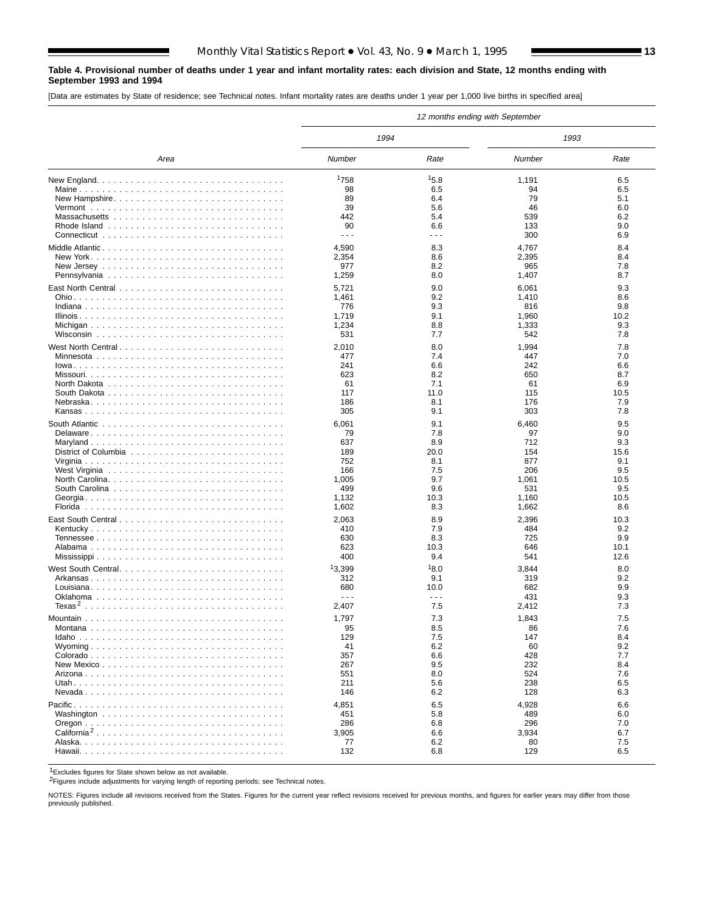#### **Table 4. Provisional number of deaths under 1 year and infant mortality rates: each division and State, 12 months ending with September 1993 and 1994**

[Data are estimates by State of residence; see Technical notes. Infant mortality rates are deaths under 1 year per 1,000 live births in specified area]

|                         |                      |                      | 12 months ending with September |            |
|-------------------------|----------------------|----------------------|---------------------------------|------------|
|                         | 1994                 |                      | 1993                            |            |
| Area                    | Number               | Rate                 | Number                          | Rate       |
|                         | 1758                 | 15.8                 | 1,191                           | 6.5        |
|                         | 98                   | 6.5                  | 94                              | 6.5        |
| New Hampshire           | 89                   | 6.4                  | 79                              | 5.1        |
|                         | 39                   | 5.6                  | 46                              | 6.0        |
|                         | 442                  | 5.4                  | 539                             | 6.2        |
|                         | 90                   | 6.6                  | 133                             | 9.0        |
|                         | $\sim$ $\sim$ $\sim$ | $\sim$ $\sim$ $\sim$ | 300                             | 6.9        |
| Middle Atlantic         | 4,590                | 8.3                  | 4,767                           | 8.4        |
|                         | 2,354                | 8.6                  | 2,395                           | 8.4        |
|                         | 977                  | 8.2                  | 965                             | 7.8        |
|                         | 1,259                | 8.0                  | 1,407                           | 8.7        |
|                         | 5,721                | 9.0                  | 6,061                           | 9.3        |
|                         | 1,461                | 9.2                  | 1,410                           | 8.6        |
|                         | 776                  | 9.3                  | 816                             | 9.8        |
|                         | 1,719                | 9.1                  | 1,960                           | 10.2       |
|                         | 1,234                | 8.8                  | 1,333                           | 9.3        |
|                         | 531                  | 7.7                  | 542                             | 7.8        |
| West North Central      | 2,010                | 8.0                  | 1,994                           | 7.8        |
|                         | 477                  | 7.4                  | 447                             | 7.0        |
|                         | 241                  | 6.6                  | 242                             | 6.6        |
|                         | 623                  | 8.2                  | 650                             | 8.7        |
|                         | 61                   | 7.1                  | 61                              | 6.9        |
|                         | 117                  | 11.0                 | 115                             | 10.5       |
|                         | 186                  | 8.1                  | 176                             | 7.9        |
|                         | 305                  | 9.1                  | 303                             | 7.8        |
|                         | 6,061                | 9.1                  | 6,460                           | 9.5        |
|                         | 79                   | 7.8                  | 97                              | 9.0        |
|                         | 637                  | 8.9                  | 712                             | 9.3        |
|                         | 189                  | 20.0                 | 154                             | 15.6       |
|                         | 752                  | 8.1                  | 877                             | 9.1        |
|                         | 166                  | 7.5                  | 206                             | 9.5        |
|                         | 1,005                | 9.7                  | 1,061                           | 10.5       |
|                         | 499                  | 9.6                  | 531                             | 9.5        |
|                         | 1,132                | 10.3                 | 1,160                           | 10.5       |
|                         | 1,602                | 8.3                  | 1,662                           | 8.6        |
|                         | 2,063                | 8.9                  | 2,396                           | 10.3       |
|                         | 410                  | 7.9                  | 484                             | 9.2        |
|                         | 630                  | 8.3                  | 725                             | 9.9        |
|                         | 623                  | 10.3                 | 646                             | 10.1       |
|                         | 400                  | 9.4                  | 541                             | 12.6       |
| West South Central      | 13,399               | 18.0                 | 3,844                           | 8.0        |
|                         | 312                  | 9.1                  | 319                             | 9.2        |
|                         | 680                  | 10.0                 | 682                             | 9.9        |
|                         | $\sim$ $\sim$ $\sim$ | $\sim$ $\sim$ $\sim$ | 431                             | 9.3        |
|                         | 2,407                | 7.5                  | 2,412                           | 7.3        |
|                         | 1,797                | 7.3                  | 1,843                           | 7.5        |
|                         |                      | 8.5                  |                                 |            |
|                         | ყა<br>129            | 7.5                  | 86<br>147                       | 7.6<br>8.4 |
|                         | 41                   | 6.2                  | 60                              | 9.2        |
|                         | 357                  | 6.6                  | 428                             | 7.7        |
|                         | 267                  | 9.5                  | 232                             | 8.4        |
|                         | 551                  | 8.0                  | 524                             | 7.6        |
|                         | 211                  | 5.6                  | 238                             | 6.5        |
|                         | 146                  | 6.2                  | 128                             | 6.3        |
|                         | 4,851                | 6.5                  | 4,928                           | 6.6        |
|                         | 451                  | 5.8                  | 489                             | 6.0        |
|                         | 286                  | 6.8                  | 296                             | 7.0        |
| California <sup>2</sup> | 3,905                | 6.6                  | 3,934                           | 6.7        |
|                         | 77                   | 6.2                  | 80                              | 7.5        |
|                         | 132                  | 6.8                  | 129                             | 6.5        |
|                         |                      |                      |                                 |            |

1Excludes figures for State shown below as not available.

2Figures include adjustments for varying length of reporting periods; see Technical notes.

NOTES: Figures include all revisions received from the States. Figures for the current year reflect revisions received for previous months, and figures for earlier years may differ from those previously published.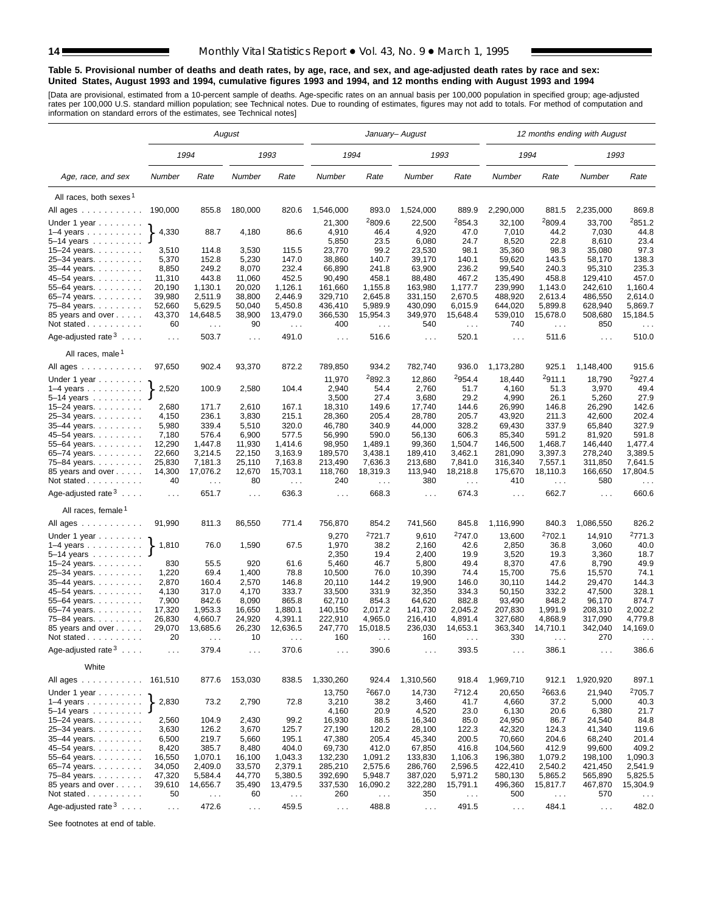#### **Table 5. Provisional number of deaths and death rates, by age, race, and sex, and age-adjusted death rates by race and sex: United States, August 1993 and 1994, cumulative figures 1993 and 1994, and 12 months ending with August 1993 and 1994**

[Data are provisional, estimated from a 10-percent sample of deaths. Age-specific rates on an annual basis per 100,000 population in specified group; age-adjusted<br>rates per 100,000 U.S. standard million population; see Tec

|                                                                        |                      |                           | August               |                             |                   |                           | January- August      |                                  |                      |                    | 12 months ending with August |                             |
|------------------------------------------------------------------------|----------------------|---------------------------|----------------------|-----------------------------|-------------------|---------------------------|----------------------|----------------------------------|----------------------|--------------------|------------------------------|-----------------------------|
|                                                                        |                      | 1994                      |                      | 1993                        | 1994              |                           | 1993                 |                                  | 1994                 |                    | 1993                         |                             |
| Age, race, and sex                                                     | Number               | Rate                      | Number               | Rate                        | Number            | Rate                      | Number               | Rate                             | Number               | Rate               | Number                       | Rate                        |
| All races, both sexes <sup>1</sup>                                     |                      |                           |                      |                             |                   |                           |                      |                                  |                      |                    |                              |                             |
| All ages                                                               | 190,000              | 855.8                     | 180,000              | 820.6                       | 1,546,000         | 893.0                     | 1,524,000            | 889.9                            | 2,290,000            | 881.5              | 2,235,000                    | 869.8                       |
|                                                                        |                      |                           |                      |                             | 21,300            | 2809.6                    | 22,500               | <sup>2</sup> 854.3               | 32,100               | <sup>2</sup> 809.4 | 33,700                       | 2851.2                      |
| Under 1 year $\ldots \ldots$<br>$1-4$ years $\ldots$ $\ldots$ $\ldots$ | 4,330                | 88.7                      | 4,180                | 86.6                        | 4,910             | 46.4                      | 4,920                | 47.0                             | 7,010                | 44.2               | 7,030                        | 44.8                        |
| 5-14 years                                                             |                      |                           |                      |                             | 5,850             | 23.5                      | 6,080                | 24.7                             | 8,520                | 22.8               | 8,610                        | 23.4                        |
| 15-24 years.                                                           | 3,510                | 114.8                     | 3,530                | 115.5                       | 23,770            | 99.2                      | 23,530               | 98.1                             | 35,360               | 98.3               | 35,080                       | 97.3                        |
| 25-34 years.                                                           | 5,370                | 152.8                     | 5,230                | 147.0                       | 38,860            | 140.7                     | 39,170               | 140.1                            | 59,620               | 143.5              | 58,170                       | 138.3                       |
| 35-44 years.                                                           | 8,850                | 249.2                     | 8,070                | 232.4                       | 66,890            | 241.8                     | 63,900               | 236.2                            | 99,540               | 240.3              | 95,310                       | 235.3                       |
| 45–54 years.                                                           | 11,310               | 443.8                     | 11,060               | 452.5                       | 90,490            | 458.1                     | 88,480               | 467.2                            | 135,490              | 458.8              | 129,410                      | 457.0                       |
| 55-64 years.                                                           | 20,190               | 1,130.1                   | 20,020               | 1,126.1                     | 161,660           | 1,155.8                   | 163,980              | 1,177.7                          | 239,990              | 1,143.0            | 242,610                      | 1.160.4                     |
| 65-74 years.                                                           | 39,980               | 2,511.9                   | 38,800               | 2,446.9                     | 329,710           | 2,645.8                   | 331,150              | 2,670.5                          | 488,920              | 2,613.4            | 486,550                      | 2,614.0                     |
| 75–84 years.                                                           | 52,660               | 5,629.5                   | 50,040               | 5,450.8                     | 436,410           | 5,989.9                   | 430,090              | 6,015.9                          | 644,020              | 5,899.8            | 628,940                      | 5,869.7                     |
| 85 years and over                                                      | 43,370               | 14,648.5                  | 38,900               | 13,479.0                    | 366,530           | 15,954.3                  | 349,970              | 15,648.4                         | 539,010              | 15,678.0           | 508,680                      | 15,184.5                    |
| Not stated                                                             | 60                   | $\sim$ $\sim$             | 90                   | $\mathcal{L}^{\mathcal{L}}$ | 400               | $\sim$ $\sim$             | 540                  | $\sim$ $\sim$                    | 740                  | $\sim$             | 850                          | $\sim$ $\sim$ $\sim$        |
|                                                                        |                      |                           |                      |                             |                   |                           |                      |                                  |                      |                    |                              |                             |
| Age-adjusted rate $3 \ldots$ .<br>All races, male <sup>1</sup>         | $\ldots$             | 503.7                     | $\sim 10$            | 491.0                       | $\sim 10$         | 516.6                     | $\sim$ $\sim$ $\sim$ | 520.1                            | $\sim 100$           | 511.6              | $\sim 100$                   | 510.0                       |
|                                                                        |                      |                           |                      |                             |                   |                           |                      |                                  |                      |                    |                              |                             |
| All ages ...........<br>Under 1 year                                   | 97,650               | 902.4                     | 93,370               | 872.2                       | 789,850<br>11,970 | 934.2<br>2892.3           | 782,740<br>12,860    | 936.0<br>2954.4                  | 1,173,280<br>18,440  | 925.1<br>2911.1    | 1,148,400<br>18,790          | 915.6<br><sup>2</sup> 927.4 |
| $1-4$ years                                                            | 2,520                | 100.9                     | 2,580                | 104.4                       | 2,940             | 54.4                      | 2,760                | 51.7                             | 4,160                | 51.3               | 3,970                        | 49.4                        |
| 5–14 years                                                             |                      |                           |                      |                             | 3,500             | 27.4                      | 3,680                | 29.2                             | 4,990                | 26.1               | 5,260                        | 27.9                        |
| 15–24 years.                                                           | 2,680                | 171.7                     | 2,610                | 167.1                       | 18,310            | 149.6                     | 17,740               | 144.6                            | 26,990               | 146.8              | 26,290                       | 142.6                       |
| 25–34 years.                                                           | 4,150                | 236.1                     | 3,830                | 215.1                       | 28,360            | 205.4                     | 28,780               | 205.7                            | 43,920               | 211.3              | 42,600                       | 202.4                       |
| 35–44 years                                                            | 5,980                | 339.4                     | 5,510                | 320.0                       | 46,780            | 340.9                     | 44,000               | 328.2                            | 69,430               | 337.9              | 65,840                       | 327.9                       |
| 45–54 years.                                                           | 7,180                | 576.4                     | 6,900                | 577.5                       | 56,990            | 590.0                     | 56,130               | 606.3                            | 85,340               | 591.2              | 81,920                       | 591.8                       |
| 55–64 years.                                                           | 12,290               | 1,447.8                   | 11,930               | 1,414.6                     | 98,950            | 1,489.1                   | 99,360               | 1,504.7                          | 146,500              | 1,468.7            | 146,440                      | 1,477.4                     |
| 65–74 years.                                                           | 22,660               | 3,214.5                   | 22,150               | 3,163.9                     | 189,570           | 3,438.1                   | 189,410              | 3,462.1                          | 281,090              | 3,397.3            | 278,240                      | 3,389.5                     |
| 75–84 years.                                                           | 25,830               | 7,181.3                   | 25,110               | 7,163.8                     | 213,490           | 7,636.3                   | 213,680              | 7,841.0                          | 316,340              | 7,557.1            | 311,850                      | 7,641.5                     |
| 85 years and over<br>Not stated                                        | 14,300<br>40         | 17,076.2<br>$\sim$ $\sim$ | 12,670<br>80         | 15,703.1<br>$\sim 100$      | 118,760<br>240    | 18,319.3<br>$\sim$ $\sim$ | 113,940<br>380       | 18,218.8<br>$\sim$ $\sim$ $\sim$ | 175,670<br>410       | 18,110.3<br>$\sim$ | 166,650<br>580               | 17,804.5<br>$\sim 100$      |
| Age-adjusted rate $3 \ldots$ .                                         | $\ldots$             | 651.7                     | $\ldots$             | 636.3                       | $\cdots$          | 668.3                     | $\cdots$             | 674.3                            | $\sim 100$           | 662.7              | $\sim 100$                   | 660.6                       |
| All races, female <sup>1</sup>                                         |                      |                           |                      |                             |                   |                           |                      |                                  |                      |                    |                              |                             |
| All ages                                                               | 91,990               | 811.3                     | 86,550               | 771.4                       | 756,870           | 854.2                     | 741,560              | 845.8                            | 1,116,990            | 840.3              | 1,086,550                    | 826.2                       |
| Under 1 year                                                           |                      |                           |                      |                             | 9,270             | <sup>2</sup> 721.7        | 9,610                | 2747.0                           | 13,600               | <sup>2</sup> 702.1 | 14,910                       | <sup>2</sup> 771.3          |
| $1-4$ years<br>5–14 years                                              | 1,810                | 76.0                      | 1,590                | 67.5                        | 1,970<br>2,350    | 38.2<br>19.4              | 2,160<br>2,400       | 42.6<br>19.9                     | 2,850<br>3,520       | 36.8<br>19.3       | 3,060<br>3,360               | 40.0<br>18.7                |
| 15–24 years.                                                           | 830                  | 55.5                      | 920                  | 61.6                        | 5,460             | 46.7                      | 5,800                | 49.4                             | 8,370                | 47.6               | 8,790                        | 49.9                        |
| 25–34 years.                                                           | 1,220                | 69.4                      | 1,400                | 78.8                        | 10,500            | 76.0                      | 10,390               | 74.4                             | 15,700               | 75.6               | 15,570                       | 74.1                        |
| 35–44 years.                                                           | 2,870                | 160.4                     | 2,570                | 146.8                       | 20,110            | 144.2                     | 19,900               | 146.0                            | 30,110               | 144.2              | 29,470                       | 144.3                       |
| 45–54 years.                                                           | 4,130                | 317.0                     | 4,170                | 333.7                       | 33,500            | 331.9                     | 32,350               | 334.3                            | 50,150               | 332.2              | 47,500                       | 328.1                       |
| 55–64 years.                                                           | 7,900                | 842.6                     | 8,090                | 865.8                       | 62,710            | 854.3                     | 64,620               | 882.8                            | 93,490               | 848.2              | 96,170                       | 874.7                       |
| 65–74 years.                                                           | 17,320               | 1,953.3                   | 16,650               | 1,880.1                     | 140,150           | 2,017.2                   | 141,730              | 2,045.2                          | 207,830              | 1,991.9            | 208,310                      | 2,002.2                     |
| 75–84 years.                                                           | 26,830               | 4,660.7                   | 24,920               | 4,391.1                     | 222,910           | 4,965.0                   | 216,410              | 4,891.4                          | 327,680              | 4,868.9            | 317,090                      | 4,779.8                     |
| 85 years and over                                                      | 29,070               | 13,685.6                  | 26,230               | 12,636.5                    | 247,770           | 15,018.5                  | 236,030              | 14,653.1                         | 363,340              | 14,710.1           | 342,040                      | 14,169.0                    |
| Not stated.<br>.                                                       | 20                   |                           | 10                   |                             | 160               |                           | 160                  |                                  | 330                  |                    | 270                          |                             |
| Age-adjusted rate $3 \ldots$ .                                         | $\sim$ $\sim$ $\sim$ | 379.4                     | $\sim$ $\sim$ $\sim$ | 370.6                       | $\cdots$          | 390.6                     | $\sim$ $\sim$        | 393.5                            | $\sim$ $\sim$ $\sim$ | 386.1              | $\sim$ $\sim$ $\sim$         | 386.6                       |
| White                                                                  |                      |                           |                      |                             |                   |                           |                      |                                  |                      |                    |                              |                             |
| All ages ...........                                                   | 161,510              | 877.6                     | 153,030              | 838.5                       | 1,330,260         | 924.4                     | 1,310,560            | 918.4                            | 1,969,710            | 912.1              | 1,920,920                    | 897.1                       |
| Under 1 year $\ldots \ldots$                                           |                      |                           |                      |                             | 13,750            | 2667.0                    | 14,730               | 2712.4                           | 20,650               | 2663.6             | 21,940                       | 2705.7                      |
| $1-4$ years<br>5-14 years $\ldots$                                     | 2,830                | 73.2                      | 2,790                | 72.8                        | 3,210<br>4,160    | 38.2<br>20.9              | 3,460<br>4,520       | 41.7<br>23.0                     | 4,660<br>6,130       | 37.2<br>20.6       | 5,000<br>6,380               | 40.3<br>21.7                |
| 15–24 years. $\ldots$                                                  | 2,560                | 104.9                     | 2,430                | 99.2                        | 16,930            | 88.5                      | 16,340               | 85.0                             | 24,950               | 86.7               | 24,540                       | 84.8                        |
| 25–34 years.                                                           | 3,630                | 126.2                     | 3,670                | 125.7                       | 27,190            | 120.2                     | 28,100               | 122.3                            | 42,320               | 124.3              | 41,340                       | 119.6                       |
| 35-44 years.                                                           | 6,500                | 219.7                     | 5,660                | 195.1                       | 47,380            | 205.4                     | 45,340               | 200.5                            | 70,660               | 204.6              | 68,240                       | 201.4                       |
| 45–54 years.                                                           | 8,420                | 385.7                     | 8,480                | 404.0                       | 69,730            | 412.0                     | 67,850               | 416.8                            | 104,560              | 412.9              | 99,600                       | 409.2                       |
| 55–64 years                                                            | 16,550               | 1,070.1                   | 16,100               | 1,043.3                     | 132,230           | 1,091.2                   | 133,830              | 1,106.3                          | 196,380              | 1,079.2            | 198,100                      | 1,090.3                     |
| 65–74 years.                                                           | 34,050               | 2,409.0                   | 33,570               | 2,379.1                     | 285,210           | 2,575.6                   | 286,760              | 2,596.5                          | 422,410              | 2,540.2            | 421,450                      | 2,541.9                     |
| 75-84 years.                                                           | 47,320               | 5,584.4                   | 44,770               | 5,380.5                     | 392,690           | 5,948.7                   | 387,020              | 5,971.2                          | 580,130              | 5,865.2            | 565,890                      | 5,825.5                     |
| 85 years and over                                                      | 39,610               | 14,656.7                  | 35,490               | 13,479.5                    | 337,530           | 16,090.2                  | 322,280              | 15,791.1                         | 496,360              | 15,817.7           | 467,870                      | 15,304.9                    |
| Not stated                                                             | 50                   | $\sim$ $\sim$             | 60                   | $\sim$ $\sim$               | 260               | $\sim$ $\sim$             | 350                  | $\sim$ $\sim$                    | 500                  | $\sim$ $\sim$      | 570                          |                             |
| Age-adjusted rate $3 \ldots$ .                                         | $\sim$ $\sim$        | 472.6                     | $\sim$ $\sim$        | 459.5                       | $\sim$ $\sim$     | 488.8                     | $\sim$               | 491.5                            | $\sim$ $\sim$        | 484.1              | $\sim 10$                    | 482.0                       |

See footnotes at end of table.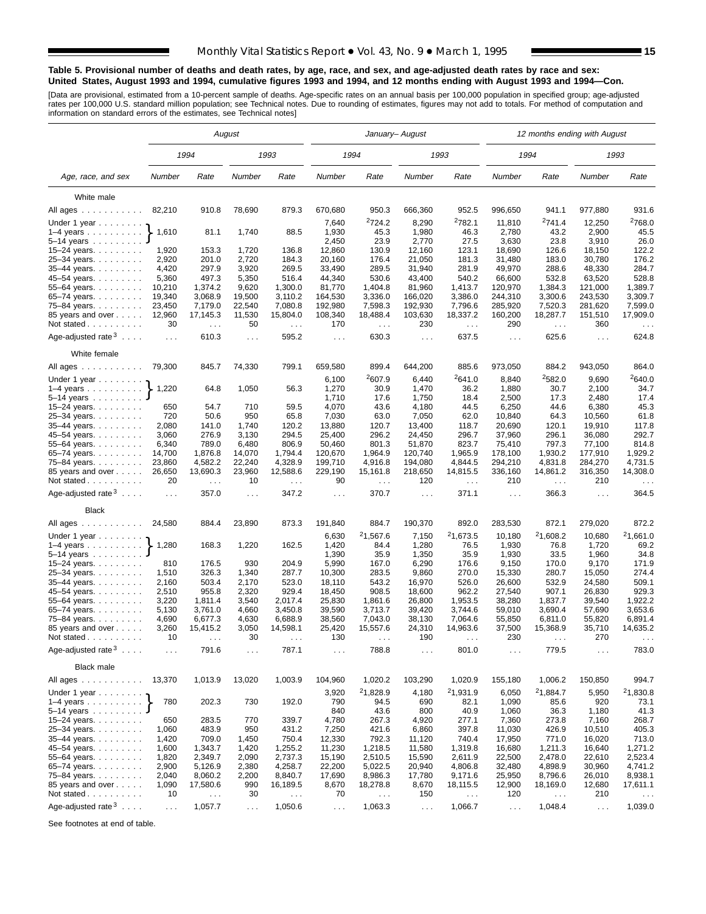#### **Table 5. Provisional number of deaths and death rates, by age, race, and sex, and age-adjusted death rates by race and sex: United States, August 1993 and 1994, cumulative figures 1993 and 1994, and 12 months ending with August 1993 and 1994—Con.**

[Data are provisional, estimated from a 10-percent sample of deaths. Age-specific rates on an annual basis per 100,000 population in specified group; age-adjusted<br>rates per 100,000 U.S. standard million population; see Tec

|                                                                    |               |                                  | August        |                                  |                      |                           | January- August      |                                  |                | 12 months ending with August |                      |                                  |
|--------------------------------------------------------------------|---------------|----------------------------------|---------------|----------------------------------|----------------------|---------------------------|----------------------|----------------------------------|----------------|------------------------------|----------------------|----------------------------------|
|                                                                    |               | 1994                             |               | 1993                             |                      | 1994                      |                      | 1993                             |                | 1994                         |                      | 1993                             |
| Age, race, and sex                                                 | Number        | Rate                             | Number        | Rate                             | Number               | Rate                      | Number               | Rate                             | Number         | Rate                         | Number               | Rate                             |
| White male                                                         |               |                                  |               |                                  |                      |                           |                      |                                  |                |                              |                      |                                  |
| All ages                                                           | 82,210        | 910.8                            | 78,690        | 879.3                            | 670,680              | 950.3                     | 666,360              | 952.5                            | 996,650        | 941.1                        | 977,880              | 931.6                            |
|                                                                    |               |                                  |               |                                  |                      | <sup>2</sup> 724.2        | 8,290                | <sup>2</sup> 782.1               | 11,810         | 2741.4                       | 12,250               | <sup>2</sup> 768.0               |
| Under 1 year                                                       | 1,610         | 81.1                             | 1,740         | 88.5                             | 7,640<br>1,930       | 45.3                      | 1,980                | 46.3                             | 2,780          | 43.2                         | 2,900                | 45.5                             |
| $1-4$ years<br>5-14 years                                          |               |                                  |               |                                  | 2,450                | 23.9                      | 2,770                | 27.5                             | 3,630          | 23.8                         | 3,910                | 26.0                             |
| 15-24 years.                                                       | 1,920         | 153.3                            | 1,720         | 136.8                            | 12,860               | 130.9                     | 12,160               | 123.1                            | 18,690         | 126.6                        | 18,150               | 122.2                            |
| 25-34 years.                                                       | 2,920         | 201.0                            | 2,720         | 184.3                            | 20,160               | 176.4                     | 21,050               | 181.3                            | 31,480         | 183.0                        | 30,780               | 176.2                            |
| 35-44 years.                                                       | 4,420         | 297.9                            | 3,920         | 269.5                            | 33,490               | 289.5                     | 31,940               | 281.9                            | 49,970         | 288.6                        | 48,330               | 284.7                            |
| 45-54 years.                                                       | 5,360         | 497.3                            | 5,350         | 516.4                            | 44,340               | 530.6                     | 43,400               | 540.2                            | 66,600         | 532.8                        | 63,520               | 528.8                            |
| 55-64 years.                                                       | 10,210        | 1,374.2                          | 9,620         | 1,300.0                          | 81,770               | 1.404.8                   | 81,960               | 1,413.7                          | 120,970        | 1.384.3                      | 121,000              | 1,389.7                          |
| 65-74 years                                                        | 19,340        | 3,068.9                          | 19,500        | 3,110.2                          | 164,530              | 3,336.0                   | 166,020              | 3,386.0                          | 244,310        | 3,300.6                      | 243,530              | 3,309.7                          |
| 75-84 years.                                                       | 23,450        | 7,179.0                          | 22,540        | 7,080.8                          | 192,980              | 7,598.3                   | 192,930              | 7,796.6                          | 285,920        | 7,520.3                      | 281,620              | 7,599.0                          |
| 85 years and over                                                  | 12,960        | 17,145.3                         | 11,530        | 15,804.0                         | 108,340              | 18,488.4                  | 103,630              | 18,337.2                         | 160,200        | 18,287.7                     | 151,510              | 17,909.0                         |
| Not stated                                                         | 30            | $\sim$ $\sim$                    | 50            | $\sim$ .                         | 170                  | $\sim$ $\sim$             | 230                  | $\ldots$                         | 290            | $\sim$ .                     | 360                  |                                  |
| Age-adjusted rate $3 \ldots$ .                                     | $\ldots$      | 610.3                            | $\cdots$      | 595.2                            | $\sim 100$           | 630.3                     | $\sim 100$           | 637.5                            | $\sim 100$     | 625.6                        | $\cdots$             | 624.8                            |
| White female                                                       |               |                                  |               |                                  |                      |                           |                      |                                  |                |                              |                      |                                  |
| All ages                                                           | 79,300        | 845.7                            | 74,330        | 799.1                            | 659,580              | 899.4                     | 644,200              | 885.6                            | 973,050        | 884.2                        | 943,050              | 864.0                            |
| Under 1 year                                                       |               |                                  |               |                                  | 6,100                | 2607.9                    | 6,440                | <sup>2</sup> 641.0               | 8,840          | 2582.0                       | 9,690                | 2640.0                           |
| $1-4$ years                                                        | 1,220         | 64.8                             | 1,050         | 56.3                             | 1,270<br>1,710       | 30.9<br>17.6              | 1,470                | 36.2                             | 1,880          | 30.7                         | 2,100                | 34.7                             |
| $5 - 14$ years                                                     | 650           | 54.7                             | 710           | 59.5                             | 4,070                | 43.6                      | 1,750<br>4,180       | 18.4<br>44.5                     | 2,500<br>6,250 | 17.3<br>44.6                 | 2,480<br>6,380       | 17.4<br>45.3                     |
| 15-24 years.<br>25-34 years.                                       | 720           | 50.6                             | 950           | 65.8                             | 7,030                | 63.0                      | 7,050                | 62.0                             | 10,840         | 64.3                         | 10,560               | 61.8                             |
| 35-44 years.                                                       | 2,080         | 141.0                            | 1,740         | 120.2                            | 13,880               | 120.7                     | 13,400               | 118.7                            | 20,690         | 120.1                        | 19,910               | 117.8                            |
| 45-54 years.                                                       | 3,060         | 276.9                            | 3,130         | 294.5                            | 25,400               | 296.2                     | 24,450               | 296.7                            | 37,960         | 296.1                        | 36,080               | 292.7                            |
| 55–64 years.                                                       | 6,340         | 789.0                            | 6,480         | 806.9                            | 50,460               | 801.3                     | 51,870               | 823.7                            | 75,410         | 797.3                        | 77,100               | 814.8                            |
| 65-74 years.                                                       | 14,700        | 1,876.8                          | 14,070        | 1,794.4                          | 120,670              | 1,964.9                   | 120,740              | 1,965.9                          | 178,100        | 1,930.2                      | 177,910              | 1,929.2                          |
| 75–84 years                                                        | 23,860        | 4,582.2                          | 22,240        | 4,328.9                          | 199,710              | 4,916.8                   | 194,080              | 4,844.5                          | 294,210        | 4,831.8                      | 284,270              | 4,731.5                          |
| 85 years and over<br>Not stated                                    | 26,650<br>20  | 13,690.3<br>$\sim$ $\sim$ $\sim$ | 23,960<br>10  | 12,588.6<br>$\sim$ $\sim$ $\sim$ | 229,190<br>90        | 15,161.8<br>$\sim$ $\sim$ | 218,650<br>120       | 14,815.5<br>$\sim$ $\sim$ $\sim$ | 336,160<br>210 | 14,861.2<br>$\sim$           | 316,350<br>210       | 14,308.0<br>$\sim$ $\sim$ $\sim$ |
| Age-adjusted rate $3 \ldots$ .                                     | $\ldots$      | 357.0                            | $\ldots$      | 347.2                            | $\sim 100$           | 370.7                     | $\sim 100$           | 371.1                            | $\sim 100$     | 366.3                        | $\cdots$             | 364.5                            |
| <b>Black</b>                                                       |               |                                  |               |                                  |                      |                           |                      |                                  |                |                              |                      |                                  |
| All ages                                                           | 24,580        | 884.4                            | 23,890        | 873.3                            | 191,840              | 884.7                     | 190,370              | 892.0                            | 283,530        | 872.1                        | 279,020              | 872.2                            |
| Under 1 year                                                       |               |                                  |               |                                  | 6,630                | <sup>2</sup> 1,567.6      | 7,150                | 21,673.5                         | 10,180         | 21,608.2                     | 10,680               | 21,661.0                         |
| $1-4$ years<br>$5-14$ years                                        | 1,280         | 168.3                            | 1,220         | 162.5                            | 1,420<br>1,390       | 84.4<br>35.9              | 1,280<br>1,350       | 76.5<br>35.9                     | 1,930<br>1,930 | 76.8<br>33.5                 | 1,720<br>1,960       | 69.2<br>34.8                     |
| 15-24 years.                                                       | 810           | 176.5                            | 930           | 204.9                            | 5,990                | 167.0                     | 6,290                | 176.6                            | 9,150          | 170.0                        | 9,170                | 171.9                            |
| 25-34 years.                                                       | 1,510         | 326.3                            | 1,340         | 287.7                            | 10,300               | 283.5                     | 9,860                | 270.0                            | 15,330         | 280.7                        | 15,050               | 274.4                            |
| 35-44 years.                                                       | 2,160         | 503.4                            | 2,170         | 523.0                            | 18,110               | 543.2                     | 16,970               | 526.0                            | 26,600         | 532.9                        | 24,580               | 509.1                            |
| 45-54 years.                                                       | 2,510         | 955.8                            | 2,320         | 929.4                            | 18,450               | 908.5                     | 18,600               | 962.2                            | 27,540         | 907.1                        | 26,830               | 929.3                            |
| 55-64 years.                                                       | 3,220         | 1,811.4                          | 3,540         | 2,017.4                          | 25,830               | 1,861.6                   | 26,800               | 1,953.5                          | 38,280         | 1,837.7                      | 39,540               | 1,922.2                          |
| 65-74 years.                                                       | 5,130         | 3,761.0                          | 4,660         | 3,450.8                          | 39,590               | 3,713.7                   | 39,420               | 3,744.6                          | 59,010         | 3,690.4                      | 57,690               | 3,653.6                          |
| 75–84 years.                                                       | 4,690         | 6,677.3                          | 4,630         | 6,688.9                          | 38,560               | 7,043.0                   | 38,130               | 7,064.6                          | 55,850         | 6,811.0                      | 55,820               | 6,891.4                          |
| 85 years and over                                                  | 3,260<br>10   | 15,415.2                         | 3,050<br>30   | 14,598.1                         | 25,420<br>130        | 15,557.6                  | 24,310<br>190        | 14,963.6                         | 37,500<br>230  | 15,368.9                     | 35,710<br>270        | 14,635.2                         |
| Not stated.<br>and and and and a<br>Age-adjusted rate $3 \ldots$ . | $\cdots$      | 791.6                            | $\sim$ .      | 787.1                            | $\sim$ $\sim$ $\sim$ | 788.8                     | $\sim$ $\sim$ $\sim$ | 801.0                            | $\sim$ .       | 779.5                        | .                    | 783.0                            |
| Black male                                                         |               |                                  |               |                                  |                      |                           |                      |                                  |                |                              |                      |                                  |
| All ages                                                           | 13,370        | 1,013.9                          | 13,020        | 1,003.9                          | 104,960              | 1,020.2                   | 103,290              | 1,020.9                          | 155,180        | 1,006.2                      | 150,850              | 994.7                            |
| Under 1 year                                                       |               |                                  |               |                                  | 3,920                | <sup>2</sup> 1,828.9      | 4,180                | 21,931.9                         | 6,050          | <sup>2</sup> 1,884.7         | 5,950                | 21,830.8                         |
| $1-4$ years $\ldots$ $\ldots$ $\ldots$ .                           | 780           | 202.3                            | 730           | 192.0                            | 790                  | 94.5                      | 690                  | 82.1                             | 1,090          | 85.6                         | 920                  | 73.1                             |
| $5-14$ years $\ldots$                                              |               |                                  |               |                                  | 840                  | 43.6                      | 800                  | 40.9                             | 1,060          | 36.3                         | 1,180                | 41.3                             |
| 15–24 years. $\ldots$                                              | 650           | 283.5                            | 770           | 339.7                            | 4,780                | 267.3                     | 4,920                | 277.1                            | 7,360          | 273.8                        | 7,160                | 268.7                            |
| 25-34 years                                                        | 1,060         | 483.9                            | 950           | 431.2                            | 7,250                | 421.6                     | 6,860                | 397.8                            | 11,030         | 426.9                        | 10,510               | 405.3                            |
| 35-44 years.                                                       | 1,420         | 709.0                            | 1,450         | 750.4                            | 12,330               | 792.3                     | 11,120               | 740.4                            | 17,950         | 771.0                        | 16,020               | 713.0                            |
| 45-54 years.                                                       | 1,600         | 1,343.7                          | 1,420         | 1,255.2                          | 11,230               | 1,218.5                   | 11,580               | 1,319.8                          | 16,680         | 1,211.3                      | 16,640               | 1,271.2                          |
| 55-64 years.                                                       | 1,820         | 2,349.7                          | 2,090         | 2,737.3                          | 15,190               | 2,510.5                   | 15,590               | 2,611.9                          | 22,500         | 2,478.0                      | 22,610               | 2,523.4                          |
| 65-74 years.                                                       | 2,900         | 5,126.9                          | 2,380         | 4,258.7                          | 22,200               | 5,022.5                   | 20,940               | 4,806.8                          | 32,480         | 4,898.9                      | 30,960               | 4,741.2                          |
| 75-84 years.                                                       | 2,040         | 8,060.2                          | 2,200         | 8,840.7                          | 17,690               | 8,986.3                   | 17,780               | 9,171.6                          | 25,950         | 8,796.6                      | 26,010               | 8,938.1                          |
| 85 years and over                                                  | 1,090         | 17,580.6                         | 990           | 16,189.5                         | 8,670                | 18,278.8                  | 8,670                | 18,115.5                         | 12,900         | 18,169.0                     | 12,680               | 17,611.1                         |
| Not stated                                                         | 10            | $\sim$ $\sim$                    | 30            | $\ldots$                         | 70                   | $\sim$ $\sim$             | 150                  | $\sim$ $\sim$                    | 120            | $\sim$ $\sim$                | 210                  | $\sim$ $\sim$                    |
| Age-adjusted rate $3 \ldots$ .                                     | $\sim$ $\sim$ | 1,057.7                          | $\sim$ $\sim$ | 1,050.6                          | $\ldots$             | 1,063.3                   | $\sim 100$           | 1,066.7                          | $\sim 10$      | 1,048.4                      | $\sim$ $\sim$ $\sim$ | 1,039.0                          |

See footnotes at end of table.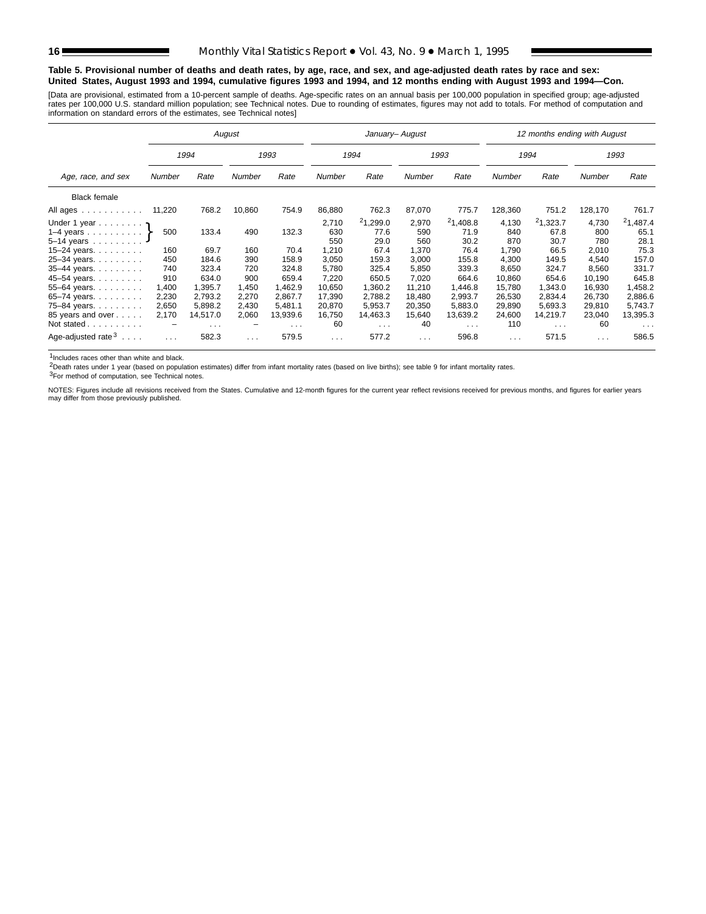#### **Table 5. Provisional number of deaths and death rates, by age, race, and sex, and age-adjusted death rates by race and sex: United States, August 1993 and 1994, cumulative figures 1993 and 1994, and 12 months ending with August 1993 and 1994—Con.**

[Data are provisional, estimated from a 10-percent sample of deaths. Age-specific rates on an annual basis per 100,000 population in specified group; age-adjusted<br>rates per 100,000 U.S. standard million population; see Tec

|                                |        |                      | August   |                      |               | January- August      |          |                      |          | 12 months ending with August |               |                      |
|--------------------------------|--------|----------------------|----------|----------------------|---------------|----------------------|----------|----------------------|----------|------------------------------|---------------|----------------------|
|                                |        | 1994                 |          | 1993                 |               | 1994                 |          | 1993                 |          | 1994                         |               | 1993                 |
| Age, race, and sex             | Number | Rate                 | Number   | Rate                 | <b>Number</b> | Rate                 | Number   | Rate                 | Number   | Rate                         | <b>Number</b> | Rate                 |
| <b>Black female</b>            |        |                      |          |                      |               |                      |          |                      |          |                              |               |                      |
| All ages                       | 11,220 | 768.2                | 10,860   | 754.9                | 86,880        | 762.3                | 87,070   | 775.7                | 128,360  | 751.2                        | 128,170       | 761.7                |
| Under 1 year $\eta$            |        |                      |          |                      | 2,710         | 21,299.0             | 2,970    | 21,408.8             | 4,130    | 21,323.7                     | 4,730         | $^{2}1,487.4$        |
| 1-4 years $\uparrow$           | 500    | 133.4                | 490      | 132.3                | 630           | 77.6                 | 590      | 71.9                 | 840      | 67.8                         | 800           | 65.1                 |
| $5 - 14$ years                 |        |                      |          |                      | 550           | 29.0                 | 560      | 30.2                 | 870      | 30.7                         | 780           | 28.1                 |
| 15-24 years.                   | 160    | 69.7                 | 160      | 70.4                 | 1,210         | 67.4                 | 1,370    | 76.4                 | 1,790    | 66.5                         | 2,010         | 75.3                 |
| 25-34 years.                   | 450    | 184.6                | 390      | 158.9                | 3,050         | 159.3                | 3,000    | 155.8                | 4,300    | 149.5                        | 4,540         | 157.0                |
| 35-44 years.                   | 740    | 323.4                | 720      | 324.8                | 5,780         | 325.4                | 5,850    | 339.3                | 8,650    | 324.7                        | 8,560         | 331.7                |
| 45-54 years.                   | 910    | 634.0                | 900      | 659.4                | 7,220         | 650.5                | 7,020    | 664.6                | 10,860   | 654.6                        | 10,190        | 645.8                |
| 55-64 years.                   | 1,400  | 1,395.7              | 1,450    | 462.9                | 10.650        | 1,360.2              | 11,210   | 1,446.8              | 15,780   | 1,343.0                      | 16,930        | .458.2               |
| 65–74 years. $\ldots$          | 2,230  | 2.793.2              | 2,270    | 2.867.7              | 17,390        | 2,788.2              | 18.480   | 2,993.7              | 26,530   | 2.834.4                      | 26,730        | 2,886.6              |
| 75-84 years                    | 2,650  | 5.898.2              | 2,430    | 5.481.1              | 20,870        | 5,953.7              | 20,350   | 5,883.0              | 29,890   | 5,693.3                      | 29,810        | 5,743.7              |
| 85 years and over              | 2,170  | 14,517.0             | 2,060    | 13,939.6             | 16,750        | 14,463.3             | 15,640   | 13,639.2             | 24,600   | 14,219.7                     | 23,040        | 13,395.3             |
| Not stated                     |        | $\sim$ $\sim$ $\sim$ |          | $\sim$ $\sim$ $\sim$ | 60            | $\sim$ $\sim$ $\sim$ | 40       | $\sim$ $\sim$ $\sim$ | 110      | $\cdots$                     | 60            | $\sim$ $\sim$ $\sim$ |
| Age-adjusted rate $3 \ldots$ . | .      | 582.3                | $\cdots$ | 579.5                | $\cdots$      | 577.2                | $\cdots$ | 596.8                | $\cdots$ | 571.5                        | $\cdots$      | 586.5                |

1Includes races other than white and black.

2Death rates under 1 year (based on population estimates) differ from infant mortality rates (based on live births); see table 9 for infant mortality rates.

3For method of computation, see Technical notes.

NOTES: Figures include all revisions received from the States. Cumulative and 12-month figures for the current year reflect revisions received for previous months, and figures for earlier years may differ from those previously published.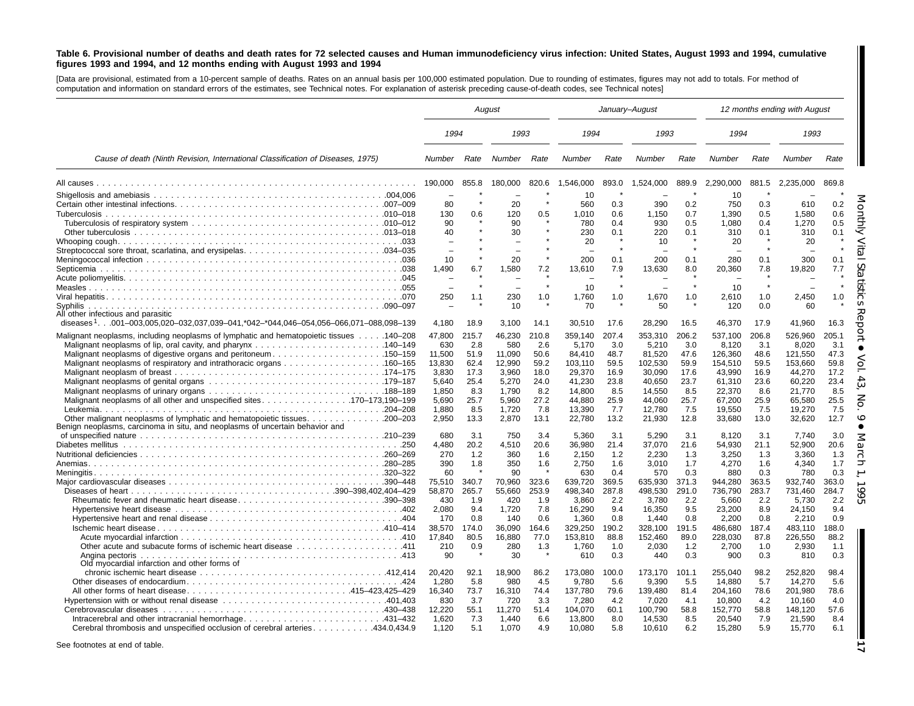#### Table 6. Provisional number of deaths and death rates for 72 selected causes and Human immunodeficiency virus infection: United States, August 1993 and 1994, cumulative figures 1993 and 1994, and 12 months ending with August 1993 and 1994

[Data are provisional, estimated from <sup>a</sup> 10-percent sample of deaths. Rates on an annual basis per 100,000 estimated population. Due to rounding of estimates, figures may not add to totals. For method of computation and information on standard errors of the estimates, see Technical notes. For explanation of asterisk preceding cause-of-death codes, see Technical notes]

|                                                                                                 |                 | August       |                 |              |                   |              | January-August    |              |                   |              | 12 months ending with August |              |
|-------------------------------------------------------------------------------------------------|-----------------|--------------|-----------------|--------------|-------------------|--------------|-------------------|--------------|-------------------|--------------|------------------------------|--------------|
|                                                                                                 | 1994            |              | 1993            |              | 1994              |              | 1993              |              | 1994              |              | 1993                         |              |
| Cause of death (Ninth Revision, International Classification of Diseases, 1975)                 | Number          | Rate         | Number          | Rate         | Number            | Rate         | Number            | Rate         | Number            | Rate         | Number                       | Rate         |
|                                                                                                 | 190.000         | 855.8        | 180.000         | 820.6        | 1.546.000         | 893.0        | 1.524.000         | 889.9        | 2.290.000         | 881.5        | 2.235.000                    | 869.8        |
|                                                                                                 | 80              |              | 20              |              | 10<br>560         | 0.3          | 390               | 0.2          | 10<br>750         | 0.3          | 610                          | 0.2          |
|                                                                                                 | 130             | 0.6          | 120             | 0.5          | 1.010             | 0.6          | 1,150             | 0.7          | 1,390             | 0.5          | 1,580                        | 0.6          |
|                                                                                                 | 90              |              | 90              |              | 780               | 0.4          | 930               | 0.5          | 1,080             | 0.4          | 1,270                        | 0.5          |
|                                                                                                 | 40              |              | 30              |              | 230               | 0.1          | 220               | 0.1          | 310               | 0.1          | 310                          | 0.1          |
|                                                                                                 |                 |              |                 |              | 20                |              | 10                |              | 20                |              | 20                           |              |
|                                                                                                 |                 |              |                 |              |                   |              |                   | $\star$      |                   |              |                              |              |
|                                                                                                 | 10              |              | 20              |              | 200               | 0.1          | 200               | 0.1          | 280               | 0.1          | 300                          | 0.1          |
|                                                                                                 | 1.490           | 6.7          | 1.580           | 7.2          | 13.610            | 7.9          | 13.630            | 8.0          | 20.360            | 7.8          | 19.820                       | 7.7          |
|                                                                                                 |                 |              |                 |              | 10                |              |                   |              | 10                |              |                              |              |
|                                                                                                 | 250             | 1.1          | 230             | 1.0          | 1,760             | 1.0          | 1,670             | 1.0          | 2,610             | 1.0          | 2,450                        | 1.0          |
| Svphilis                                                                                        |                 |              | 10              |              | 70                |              | 50                |              | 120               | 0.0          | 60                           |              |
| All other infectious and parasitic                                                              |                 |              |                 |              |                   |              |                   |              |                   |              |                              |              |
| diseases <sup>1</sup> 001-003,005,020-032,037,039-041,*042-*044,046-054,056-066,071-088,098-139 | 4,180           | 18.9         | 3,100           | 14.1         | 30,510            | 17.6         | 28,290            | 16.5         | 46,370            | 17.9         | 41,960                       | 16.3         |
| Malignant neoplasms, including neoplasms of lymphatic and hematopoietic tissues 140–208         | 47,800          | 215.7        | 46,230          | 210.8        | 359,140           | 207.4        | 353,310           | 206.2        | 537,100           | 206.8        | 526,960                      | 205.1        |
|                                                                                                 | 630             | 2.8          | 580             | 2.6          | 5,170             | 3.0          | 5,210             | 3.0          | 8,120             | 3.1          | 8,020                        | 3.1          |
| Malignant neoplasms of digestive organs and peritoneum150–159                                   | 11,500          | 51.9         | 11,090          | 50.6         | 84,410            | 48.7         | 81,520            | 47.6         | 126,360           | 48.6         | 121,550                      | 47.3         |
|                                                                                                 | 13,830          | 62.4         | 12,990          | 59.2         | 103,110           | 59.5         | 102,530           | 59.9         | 154,510           | 59.5         | 153,660                      | 59.8         |
|                                                                                                 | 3,830<br>5.640  | 17.3<br>25.4 | 3,960<br>5.270  | 18.0<br>24.0 | 29,370<br>41.230  | 16.9<br>23.8 | 30,090<br>40.650  | 17.6<br>23.7 | 43,990<br>61.310  | 16.9<br>23.6 | 44,270<br>60.220             | 17.2<br>23.4 |
|                                                                                                 | 1.850           | 8.3          | 1.790           | 8.2          | 14.800            | 8.5          | 14.550            | 8.5          | 22,370            | 8.6          | 21.770                       | 8.5          |
| Malignant neoplasms of all other and unspecified sites170–173,190–199                           | 5,690           | 25.7         | 5,960           | 27.2         | 44,880            | 25.9         | 44,060            | 25.7         | 67,200            | 25.9         | 65,580                       | 25.5         |
|                                                                                                 | 1,880           | 8.5          | 1,720           | 7.8          | 13,390            | 7.7          | 12,780            | 7.5          | 19,550            | 7.5          | 19,270                       | 7.5          |
| Benign neoplasms, carcinoma in situ, and neoplasms of uncertain behavior and                    | 2.950           | 13.3         | 2,870           | 13.1         | 22,780            | 13.2         | 21,930            | 12.8         | 33,680            | 13.0         | 32,620                       | 12.7         |
|                                                                                                 | 680             | 3.1          | 750             | 3.4          | 5.360             | 3.1          | 5,290             | 3.1          | 8,120             | 3.1          | 7,740                        | 3.0          |
|                                                                                                 | 4.480           | 20.2         | 4.510           | 20.6         | 36.980            | 21.4         | 37.070            | 21.6         | 54.930            | 21.1         | 52.900                       | 20.6         |
|                                                                                                 | 270             | 1.2          | 360             | 1.6          | 2.150             | 1.2          | 2,230             | 1.3          | 3,250             | 1.3<br>1.6   | 3,360<br>4,340               | 1.3<br>1.7   |
|                                                                                                 | 390<br>60       | 1.8          | 350<br>90       | 1.6          | 2,750<br>630      | 1.6<br>0.4   | 3,010<br>570      | 1.7<br>0.3   | 4,270<br>880      | 0.3          | 780                          | 0.3          |
|                                                                                                 | 75,510          | 340.7        | 70,960          | 323.6        | 639,720           | 369.5        | 635,930           | 371.3        | 944,280           | 363.5        | 932.740                      | 363.0        |
|                                                                                                 | 58.870          | 265.7        | 55.660          | 253.9        | 498.340           | 287.8        | 498.530           | 291.0        | 736.790           | 283.7        | 731.460                      | 284.7        |
| Rheumatic fever and rheumatic heart disease390-398                                              | 430             | 1.9          | 420             | 1.9          | 3.860             | 2.2          | 3,780             | 2.2          | 5,660             | 2.2          | 5,730                        | 2.2          |
|                                                                                                 | 2.080           | 9.4          | 1,720           | 7.8          | 16,290            | 9.4          | 16,350            | 9.5          | 23,200            | 8.9          | 24,150                       | 9.4          |
|                                                                                                 | 170             | 0.8          | 140             | 0.6          | 1,360             | 0.8          | 1,440             | 0.8          | 2,200             | 0.8          | 2,210                        | 0.9          |
|                                                                                                 | 38,570          | 174.0        | 36,090          | 164.6        | 329,250           | 190.2        | 328,100           | 191.5        | 486,680           | 187.4        | 483,110                      | 188.0        |
|                                                                                                 | 17,840<br>210   | 80.5<br>0.9  | 16,880<br>280   | 77.0<br>1.3  | 153,810<br>1,760  | 88.8<br>1.0  | 152,460<br>2,030  | 89.0<br>1.2  | 228,030<br>2,700  | 87.8<br>1.0  | 226,550<br>2,930             | 88.2<br>1.1  |
|                                                                                                 | 90              |              | 30              |              | 610               | 0.3          | 440               | 0.3          | 900               | 0.3          | 810                          | 0.3          |
| Old myocardial infarction and other forms of                                                    |                 |              |                 |              |                   |              |                   |              |                   |              |                              |              |
|                                                                                                 | 20,420          | 92.1         | 18,900          | 86.2         | 173,080           | 100.0        | 173,170           | 101.1        | 255,040           | 98.2         | 252,820                      | 98.4         |
|                                                                                                 | 1.280           | 5.8          | 980             | 4.5          | 9.780             | 5.6          | 9.390             | 5.5          | 14,880            | 5.7          | 14,270                       | 5.6          |
| All other forms of heart disease415-423,425-429                                                 | 16,340          | 73.7         | 16,310          | 74.4         | 137,780           | 79.6         | 139,480           | 81.4         | 204,160           | 78.6         | 201.980                      | 78.6         |
|                                                                                                 | 830             | 3.7          | 720             | 3.3          | 7,280             | 4.2          | 7,020             | 4.1          | 10,800            | 4.2          | 10,160                       | 4.0          |
| Intracerebral and other intracranial hemorrhage431-432                                          | 12.220<br>1.620 | 55.1<br>7.3  | 11.270<br>1.440 | 51.4<br>6.6  | 104,070<br>13,800 | 60.1<br>8.0  | 100,790<br>14,530 | 58.8<br>8.5  | 152,770<br>20.540 | 58.8<br>7.9  | 148,120<br>21.590            | 57.6<br>8.4  |
| Cerebral thrombosis and unspecified occlusion of cerebral arteries434.0,434.9                   | 1,120           | 5.1          | 1,070           | 4.9          | 10,080            | 5.8          | 10,610            | 6.2          | 15,280            | 5.9          | 15,770                       | 6.1          |

See footnotes at end of table.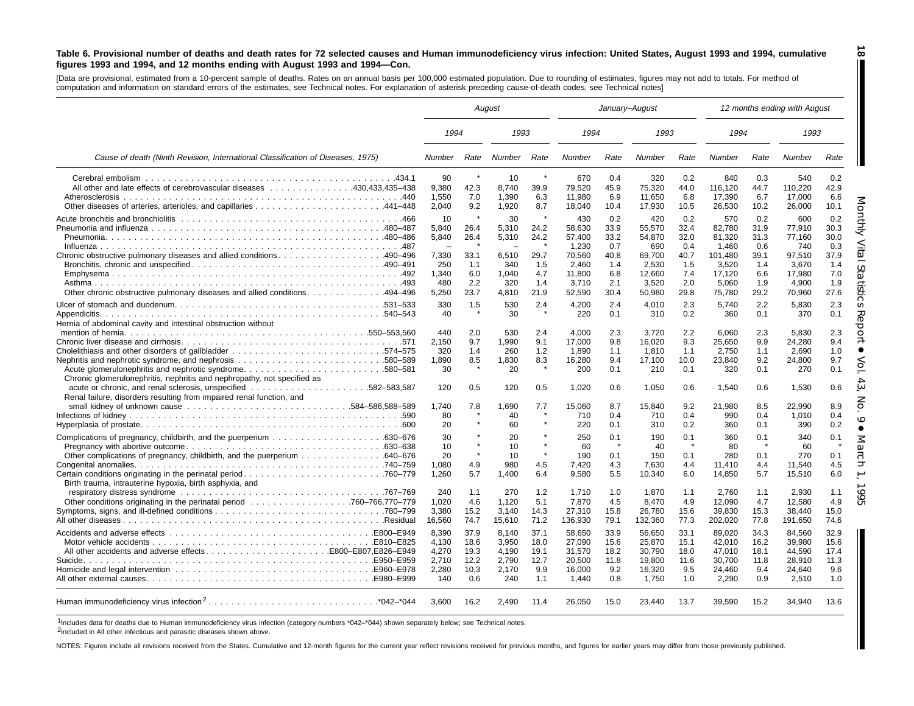#### Table 6. Provisional number of deaths and death rates for 72 selected causes and Human immunodeficiency virus infection: United States, August 1993 and 1994, cumulative figures 1993 and 1994, and 12 months ending with August 1993 and 1994-Con.

[Data are provisional, estimated from a 10-percent sample of deaths. Rates on an annual basis per 100,000 estimated population. Due to rounding of estimates, figures may not add to totals. For method of computation and information on standard errors of the estimates, see Technical notes. For explanation of asterisk preceding cause-of-death codes, see Technical notes]

|                                                                                                                                   |                                                  |                                             | August                                           |                                            |                                                         | January-August                             |                                                         |                                            |                                                         |                                            | 12 months ending with August                            |                                            |
|-----------------------------------------------------------------------------------------------------------------------------------|--------------------------------------------------|---------------------------------------------|--------------------------------------------------|--------------------------------------------|---------------------------------------------------------|--------------------------------------------|---------------------------------------------------------|--------------------------------------------|---------------------------------------------------------|--------------------------------------------|---------------------------------------------------------|--------------------------------------------|
|                                                                                                                                   | 1994                                             |                                             | 1993                                             |                                            | 1994                                                    |                                            | 1993                                                    |                                            | 1994                                                    |                                            | 1993                                                    |                                            |
| Cause of death (Ninth Revision, International Classification of Diseases, 1975)                                                   | Number                                           | Rate                                        | Number                                           | Rate                                       | Number                                                  | Rate                                       | Number                                                  | Rate                                       | Number                                                  | Rate                                       | Number                                                  | Rate                                       |
| All other and late effects of cerebrovascular diseases 430,433,435–438                                                            | 90<br>9,380<br>1,550<br>2.040                    | 42.3<br>7.0<br>9.2                          | 10<br>8,740<br>1.390<br>1,920                    | $\pmb{\ast}$<br>39.9<br>6.3<br>8.7         | 670<br>79,520<br>11.980<br>18,040                       | 0.4<br>45.9<br>6.9<br>10.4                 | 320<br>75,320<br>11.650<br>17,930                       | 0.2<br>44.0<br>6.8<br>10.5                 | 840<br>116,120<br>17.390<br>26,530                      | 0.3<br>44.7<br>6.7<br>10.2                 | 540<br>110,220<br>17.000<br>26,000                      | 0.2<br>42.9<br>6.6<br>10.1                 |
|                                                                                                                                   | 10<br>5,840<br>5.840<br>7,330<br>250             | 26.4<br>26.4<br>33.1<br>1.1                 | 30<br>5,310<br>5,310<br>6,510<br>340             | 24.2<br>24.2<br>$\star$<br>29.7<br>1.5     | 430<br>58.630<br>57,400<br>1.230<br>70,560<br>2,460     | 0.2<br>33.9<br>33.2<br>0.7<br>40.8<br>1.4  | 420<br>55,570<br>54,870<br>690<br>69,700<br>2,530       | 0.2<br>32.4<br>32.0<br>0.4<br>40.7<br>1.5  | 570<br>82,780<br>81,320<br>1.460<br>101,480<br>3,520    | 0.2<br>31.9<br>31.3<br>0.6<br>39.1<br>1.4  | 600<br>77,910<br>77.160<br>740<br>97,510<br>3,670       | 0.2<br>30.3<br>30.0<br>0.3<br>37.9<br>1.4  |
| Other chronic obstructive pulmonary diseases and allied conditions. 494–496                                                       | 1,340<br>480<br>5,250                            | 6.0<br>2.2<br>23.7                          | 1,040<br>320<br>4.810                            | 4.7<br>1.4<br>21.9                         | 11,800<br>3.710<br>52,590                               | 6.8<br>2.1<br>30.4                         | 12,660<br>3,520<br>50,980                               | 7.4<br>2.0<br>29.8                         | 17,120<br>5.060<br>75,780                               | 6.6<br>1.9<br>29.2                         | 17,980<br>4,900<br>70,960                               | 7.0<br>1.9<br>27.6                         |
| Appendicitis.<br>Hernia of abdominal cavity and intestinal obstruction without                                                    | 330<br>40                                        | 1.5                                         | 530<br>30                                        | 2.4<br>$\star$                             | 4,200<br>220                                            | 2.4<br>0.1                                 | 4.010<br>310                                            | 2.3<br>0.2                                 | 5.740<br>360                                            | 2.2<br>0.1                                 | 5.830<br>370                                            | 2.3<br>0.1                                 |
| Acute glomerulonephritis and nephrotic syndrome580–581<br>Chronic glomerulonephritis, nephritis and nephropathy, not specified as | 440<br>2,150<br>320<br>1,890<br>30               | 2.0<br>9.7<br>1.4<br>8.5                    | 530<br>1,990<br>260<br>1,830<br>20               | 2.4<br>9.1<br>1.2<br>8.3                   | 4.000<br>17,000<br>1.890<br>16,280<br>200               | 2.3<br>9.8<br>1.1<br>9.4<br>0.1            | 3.720<br>16,020<br>1.810<br>17,100<br>210               | 2.2<br>9.3<br>1.1<br>10.0<br>0.1           | 6.060<br>25,650<br>2.750<br>23,840<br>320               | 2.3<br>9.9<br>1.1<br>9.2<br>0.1            | 5.830<br>24,280<br>2.690<br>24,800<br>270               | 2.3<br>9.4<br>1.0<br>9.7<br>0.1            |
| Renal failure, disorders resulting from impaired renal function, and                                                              | 120<br>1.740<br>80                               | 0.5<br>7.8                                  | 120<br>1,690<br>40                               | 0.5<br>7.7                                 | 1,020<br>15,060<br>710                                  | 0.6<br>8.7<br>0.4                          | 1,050<br>15,840<br>710                                  | 0.6<br>9.2<br>0.4                          | 1.540<br>21,980<br>990                                  | 0.6<br>8.5<br>0.4                          | 1,530<br>22,990<br>1,010                                | 0.6<br>8.9<br>0.4                          |
|                                                                                                                                   | 20<br>30<br>10<br>20                             |                                             | 60<br>20<br>10<br>10                             |                                            | 220<br>250<br>60<br>190                                 | 0.1<br>0.1<br>$\star$<br>0.1               | 310<br>190<br>40<br>150                                 | 0.2<br>0.1<br>$\star$<br>0.1               | 360<br>360<br>80<br>280                                 | 0.1<br>0.1<br>- 4<br>0.1                   | 390<br>340<br>60<br>270                                 | 0.2<br>0.1<br>$\star$<br>0.1               |
| Birth trauma, intrauterine hypoxia, birth asphyxia, and                                                                           | 1,080<br>1.260<br>240                            | 4.9<br>5.7<br>1.1                           | 980<br>1.400<br>270                              | 4.5<br>6.4<br>1.2                          | 7,420<br>9.580<br>1,710                                 | 4.3<br>5.5<br>1.0                          | 7,630<br>10.340<br>1,870                                | 4.4<br>6.0<br>1.1                          | 11,410<br>14,850<br>2,760                               | 4.4<br>5.7<br>1.1                          | 11,540<br>15,510<br>2,930                               | 4.5<br>6.0<br>1.1                          |
|                                                                                                                                   | 1,020<br>3,380<br>16.560                         | 4.6<br>15.2<br>74.7                         | 1,120<br>3,140<br>15,610                         | 5.1<br>14.3<br>71.2                        | 7,870<br>27,310<br>136,930                              | 4.5<br>15.8<br>79.1                        | 8,470<br>26,780<br>132,360                              | 4.9<br>15.6<br>77.3                        | 12,090<br>39,830<br>202,020                             | 4.7<br>15.3<br>77.8                        | 12,580<br>38,440<br>191,650                             | 4.9<br>15.0<br>74.6                        |
| All other accidents and adverse effectsE800-E807,E826-E949                                                                        | 8.390<br>4,130<br>4,270<br>2,710<br>2,280<br>140 | 37.9<br>18.6<br>19.3<br>12.2<br>10.3<br>0.6 | 8.140<br>3,950<br>4,190<br>2,790<br>2,170<br>240 | 37.1<br>18.0<br>19.1<br>12.7<br>9.9<br>1.1 | 58.650<br>27,090<br>31,570<br>20,500<br>16,000<br>1.440 | 33.9<br>15.6<br>18.2<br>11.8<br>9.2<br>0.8 | 56,650<br>25,870<br>30,790<br>19,800<br>16,320<br>1.750 | 33.1<br>15.1<br>18.0<br>11.6<br>9.5<br>1.0 | 89.020<br>42,010<br>47,010<br>30,700<br>24,460<br>2.290 | 34.3<br>16.2<br>18.1<br>11.8<br>9.4<br>0.9 | 84.560<br>39,980<br>44,590<br>28,910<br>24,640<br>2.510 | 32.9<br>15.6<br>17.4<br>11.3<br>9.6<br>1.0 |
|                                                                                                                                   | 3,600                                            | 16.2                                        | 2,490                                            | 11.4                                       | 26,050                                                  | 15.0                                       | 23,440                                                  | 13.7                                       | 39,590                                                  | 15.2                                       | 34,940                                                  | 13.6                                       |

1Includes data for deaths due to Human immunodeficiency virus infection (category numbers \*042–\*044) shown separately below; see Technical notes.

2Included in All other infectious and parasitic diseases shown above.

NOTES: Figures include all revisions received from the States. Cumulative and 12-month figures for the current year reflect revisions received for previous months, and figures for earlier years may differ from those previo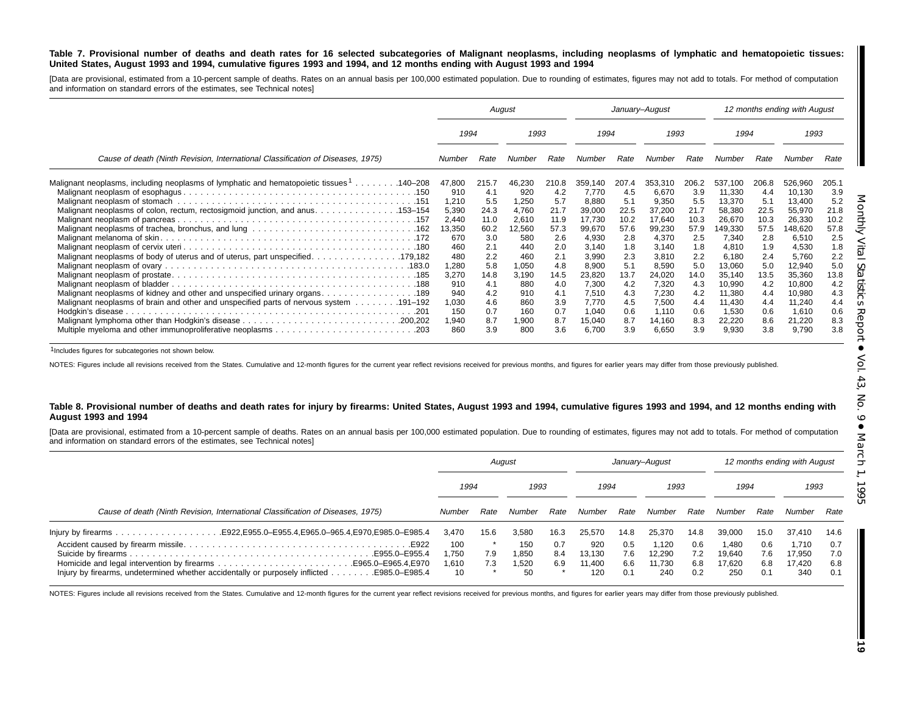#### Table 7. Provisional number of deaths and death rates for 16 selected subcategories of Malignant neoplasms, including neoplasms of lymphatic and hematopoietic tissues: United States, August 1993 and 1994, cumulative figures 1993 and 1994, and 12 months ending with August 1993 and 1994

[Data are provisional, estimated from a 10-percent sample of deaths. Rates on an annual basis per 100,000 estimated population. Due to rounding of estimates, figures may not add to totals. For method of computation and information on standard errors of the estimates, see Technical notes]

|                                                                                                      | August         |             |                | January-August |                 |             |                 | 12 months ending with August |                  |             |                  |             |
|------------------------------------------------------------------------------------------------------|----------------|-------------|----------------|----------------|-----------------|-------------|-----------------|------------------------------|------------------|-------------|------------------|-------------|
|                                                                                                      | 1994<br>1993   |             | 1994           |                | 1993            |             | 1994            |                              | 1993             |             |                  |             |
| Cause of death (Ninth Revision, International Classification of Diseases, 1975)                      | Number         | Rate        | Number         | Rate           | Number          | Rate        | Number          | Rate                         | Number           | Rate        | Number           | Rate        |
| Malignant neoplasms, including neoplasms of lymphatic and hematopoietic tissues <sup>1</sup> 140–208 | 47,800         | 215.7       | 46,230         | 210.8          | 359.140         | 207.4       | 353.310         | 206.2                        | 537.100          | 206.8       | 526,960          | 205.1       |
|                                                                                                      | 910            | 4.1         | 920            | 4.2            | 7,770           | 4.5         | 6,670           | 3.9<br>5.5                   | 11,330           | 4.4         | 10,130           | 3.9         |
| Malignant neoplasms of colon, rectum, rectosigmoid junction, and anus. 153–154                       | 1,210<br>5,390 | 5.5<br>24.3 | 1,250<br>4,760 | 5.7<br>21.7    | 8,880<br>39,000 | 5.1<br>22.5 | 9,350<br>37,200 | 21.7                         | 13,370<br>58,380 | 5.1<br>22.5 | 13,400<br>55,970 | 5.2<br>21.8 |
|                                                                                                      | 2,440          | 11.0        | 2,610          | 11.9           | 17.730          | 10.2        | 17.640          | 10.3                         | 26,670           | 10.3        | 26,330           | 10.2        |
|                                                                                                      | 13,350         | 60.2        | 12,560         | 57.3           | 99,670          | 57.6        | 99,230          | 57.9                         | 149,330          | 57.5        | 148,620          | 57.8        |
|                                                                                                      | 670            | 3.0         | 580            | 2.6            | 4,930           | 2.8         | 4,370           | 2.5                          | 7,340            | 2.8         | 6,510            | 2.5         |
|                                                                                                      | 460            | 2.1         | 440            | 2.0            | 3,140           | 1.8         | 3.140           | 1.8                          | 4,810            | 1.9         | 4,530            | 1.8         |
|                                                                                                      | 480            | 2.2         | 460            | 2.1            | 3,990           | 2.3         | 3,810           | 2.2                          | 6,180            | 2.4         | 5,760            | 2.2         |
|                                                                                                      | 1,280          | 5.8         | 1,050          | 4.8            | 8,900           | 5.1         | 8,590           | 5.0                          | 13,060           | 5.0         | 12,940           | 5.0         |
|                                                                                                      | 3,270          | 14.8        | 3,190          | 14.5           | 23,820          | 13.7        | 24,020          | 14.0                         | 35,140           | 13.5        | 35,360           | 13.8        |
|                                                                                                      | 910            | 4.1         | 880            | 4.0            | 7.300           | 4.2         | 7,320           | 4.3                          | 10,990           | 4.2         | 10,800           | 4.2         |
|                                                                                                      | 940<br>1,030   | 4.2<br>4.6  | 910<br>860     | 4.1<br>3.9     | 7,510<br>7,770  | 4.3         | 7,230<br>7,500  | 4.2<br>4.4                   | 11,380<br>11,430 | 4.4         | 10,980           | 4.3<br>4.4  |
| Malignant neoplasms of brain and other and unspecified parts of nervous system 191–192               | 150            | 0.7         | 160            | 0.7            | 1.040           | 4.5<br>0.6  | 1,110           | 0.6                          | 1,530            | 4.4<br>0.6  | 11,240<br>1,610  | 0.6         |
|                                                                                                      | 1,940          | 8.7         | 1,900          | 8.7            | 15,040          | 8.7         | 14,160          | 8.3                          | 22,220           | 8.6         | 21,220           | 8.3         |
|                                                                                                      | 860            | 3.9         | 800            | 3.6            | 6,700           | 3.9         | 6,650           | 3.9                          | 9,930            | 3.8         | 9,790            | 3.8         |

1Includes figures for subcategories not shown below.

NOTES: Figures include all revisions received from the States. Cumulative and 12-month figures for the current year reflect revisions received for previous months, and figures for earlier years may differ from those previo

#### Table 8. Provisional number of deaths and death rates for injury by firearms: United States, August 1993 and 1994, cumulative figures 1993 and 1994, and 12 months ending with **August 1993 and 1994**

[Data are provisional, estimated from a 10-percent sample of deaths. Rates on an annual basis per 100,000 estimated population. Due to rounding of estimates, figures may not add to totals. For method of computation and information on standard errors of the estimates, see Technical notes]

|                                                                                                                                         | August                      |            |                             | January-August    |                                |                          |                                  | 12 months ending with August |                                  |                          |                                  |                          |
|-----------------------------------------------------------------------------------------------------------------------------------------|-----------------------------|------------|-----------------------------|-------------------|--------------------------------|--------------------------|----------------------------------|------------------------------|----------------------------------|--------------------------|----------------------------------|--------------------------|
|                                                                                                                                         | 1994                        |            | 1993                        |                   | 1994                           |                          | 1993                             |                              | 1994                             |                          | 1993                             |                          |
| Cause of death (Ninth Revision, International Classification of Diseases, 1975)                                                         | Number                      | Rate       | Number                      | Rate              | Number                         | Rate                     | Number                           | Rate                         | Number                           | Rate                     | Number                           | Rate                     |
|                                                                                                                                         | 3.470                       | 15.6       | 3.580                       | 16.3              | 25.570                         | 14.8                     | 25.370                           | 14.8                         | 39.000                           | 15.0                     | 37.410                           | 14.6                     |
| . .E922<br>E955.0-E955.4<br>Injury by firearms, undetermined whether accidentally or purposely inflicted $\dots \dots$<br>E985.0-E985.4 | 100<br>. 750<br>1.610<br>10 | 7.9<br>7.3 | 150<br>1.850<br>1.520<br>50 | 0.7<br>8.4<br>6.9 | 920<br>13.130<br>11.400<br>120 | 0.5<br>7.6<br>6.6<br>0.1 | 1.120<br>12,290<br>11.730<br>240 | 0.6<br>7.2<br>6.8<br>0.2     | 1.480<br>19.640<br>17.620<br>250 | 0.6<br>7.6<br>6.8<br>0.1 | 1.710<br>17.950<br>17.420<br>340 | 0.7<br>7.0<br>6.8<br>0.1 |

NOTES: Figures include all revisions received from the States. Cumulative and 12-month figures for the current year reflect revisions received for previous months, and figures for earlier years may differ from those previo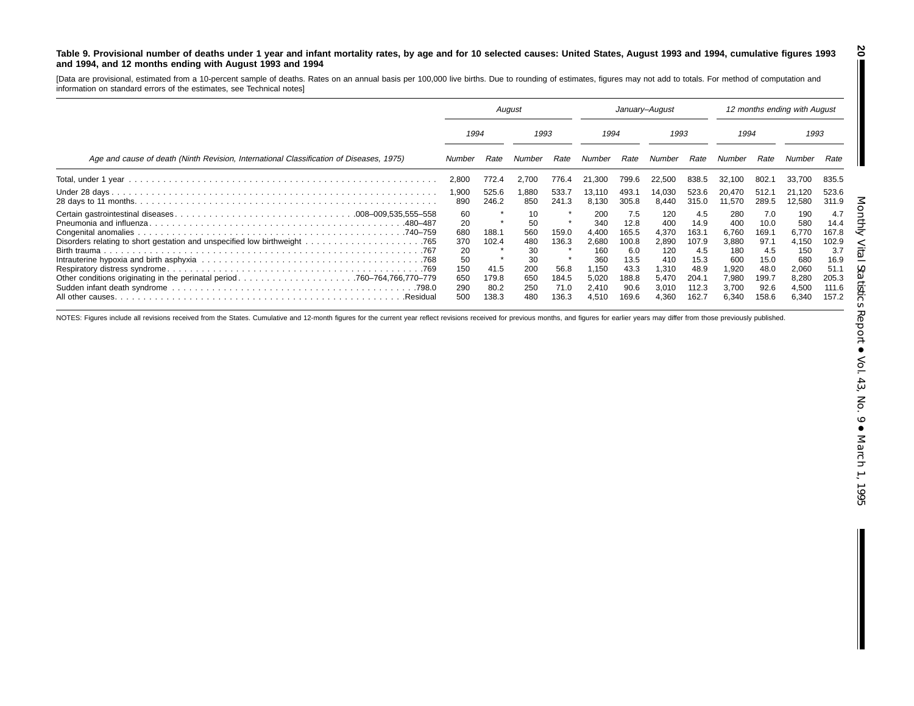#### Table 9. Provisional number of deaths under 1 year and infant mortality rates, by age and for 10 selected causes: United States, August 1993 and 1994, cumulative figures 1993 **and 1994, and 12 months ending with August 1993 and 1994**

[Data are provisional, estimated from <sup>a</sup> 10-percent sample of deaths. Rates on an annual basis per 100,000 live births. Due to rounding of estimates, figures may not add to totals. For method of computation and information on standard errors of the estimates, see Technical notes]

|                                                                                         | August                                                         |                                                  | January-August                                                 |                                                  |                                                                                |                                                                                | 12 months ending with August                                                   |                                                                                 |                                                                                |                                                                               |                                                                                |                                                                                 |
|-----------------------------------------------------------------------------------------|----------------------------------------------------------------|--------------------------------------------------|----------------------------------------------------------------|--------------------------------------------------|--------------------------------------------------------------------------------|--------------------------------------------------------------------------------|--------------------------------------------------------------------------------|---------------------------------------------------------------------------------|--------------------------------------------------------------------------------|-------------------------------------------------------------------------------|--------------------------------------------------------------------------------|---------------------------------------------------------------------------------|
|                                                                                         | 1994                                                           |                                                  | 1993                                                           |                                                  | 1994                                                                           |                                                                                | 1993                                                                           |                                                                                 | 1994                                                                           |                                                                               | 1993                                                                           |                                                                                 |
| Age and cause of death (Ninth Revision, International Classification of Diseases, 1975) | Number                                                         | Rate                                             | Number                                                         | Rate                                             | Number                                                                         | Rate                                                                           | Number                                                                         | Rate                                                                            | Number                                                                         | Rate                                                                          | Number                                                                         | Rate                                                                            |
|                                                                                         | 2,800                                                          | 772.4                                            | 2,700                                                          | 776.4                                            | 21,300                                                                         | 799.6                                                                          | 22,500                                                                         | 838.5                                                                           | 32.100                                                                         | 802.1                                                                         | 33.700                                                                         | 835.5                                                                           |
|                                                                                         | 1,900<br>890                                                   | 525.6<br>246.2                                   | .880<br>850                                                    | 533.7<br>241.3                                   | 13,110<br>8.130                                                                | 493.1<br>305.8                                                                 | 14.030<br>8.440                                                                | 523.6<br>315.0                                                                  | 20.470<br>11,570                                                               | 512.1<br>289.5                                                                | 21.120<br>12,580                                                               | 523.6<br>311.9                                                                  |
|                                                                                         | 60<br>20<br>680<br>370<br>20<br>50<br>150<br>650<br>290<br>500 | 188.1<br>102.4<br>41.5<br>179.8<br>80.2<br>138.3 | 10<br>50<br>560<br>480<br>30<br>30<br>200<br>650<br>250<br>480 | 159.0<br>136.3<br>56.8<br>184.5<br>71.0<br>136.3 | 200<br>340<br>4.400<br>2,680<br>160<br>360<br>1,150<br>5,020<br>2,410<br>4.510 | 7.5<br>12.8<br>165.5<br>100.8<br>6.0<br>13.5<br>43.3<br>188.8<br>90.6<br>169.6 | 120<br>400<br>4,370<br>2,890<br>120<br>410<br>1,310<br>5.470<br>3,010<br>4.360 | 4.5<br>14.9<br>163.1<br>107.9<br>4.5<br>15.3<br>48.9<br>204.1<br>112.3<br>162.7 | 280<br>400<br>6.760<br>3,880<br>180<br>600<br>1,920<br>7,980<br>3,700<br>6.340 | 7.0<br>10.0<br>169.1<br>97.1<br>4.5<br>15.0<br>48.0<br>199.7<br>92.6<br>158.6 | 190<br>580<br>6.770<br>4,150<br>150<br>680<br>2,060<br>8,280<br>4,500<br>6,340 | 4.7<br>14.4<br>167.8<br>102.9<br>3.7<br>16.9<br>51.1<br>205.3<br>111.6<br>157.2 |

NOTES: Figures include all revisions received from the States. Cumulative and 12-month figures for the current year reflect revisions received for previous months, and figures for earlier years may differ from those previo

**20**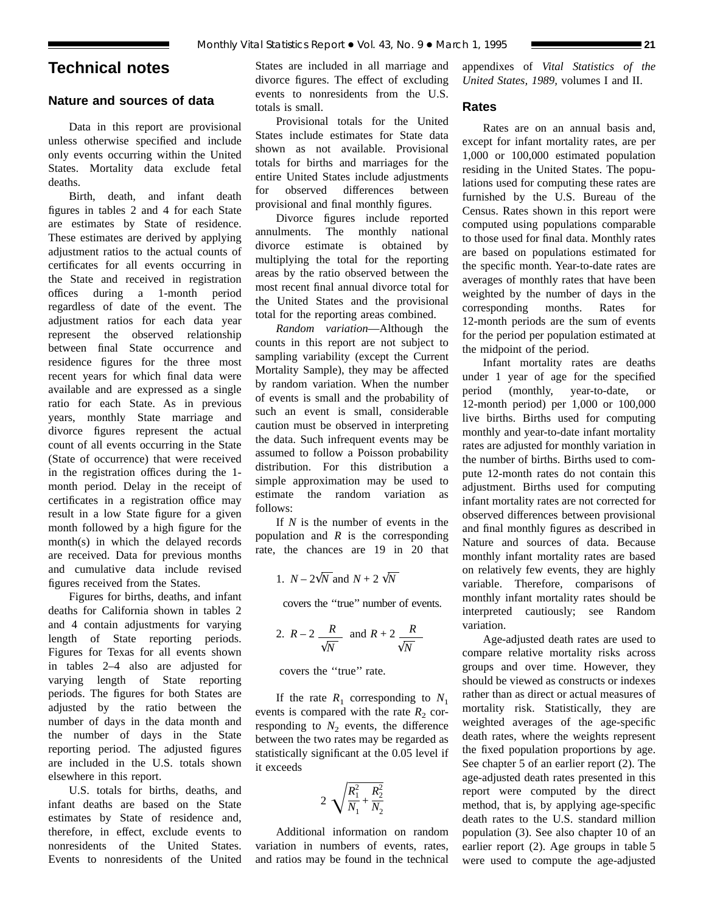# **Technical notes**

# **Nature and sources of data**

Data in this report are provisional unless otherwise specified and include only events occurring within the United States. Mortality data exclude fetal deaths.

Birth, death, and infant death figures in tables 2 and 4 for each State are estimates by State of residence. These estimates are derived by applying adjustment ratios to the actual counts of certificates for all events occurring in the State and received in registration offices during a 1-month period regardless of date of the event. The adjustment ratios for each data year represent the observed relationship between final State occurrence and residence figures for the three most recent years for which final data were available and are expressed as a single ratio for each State. As in previous years, monthly State marriage and divorce figures represent the actual count of all events occurring in the State (State of occurrence) that were received in the registration offices during the 1 month period. Delay in the receipt of certificates in a registration office may result in a low State figure for a given month followed by a high figure for the month(s) in which the delayed records are received. Data for previous months and cumulative data include revised figures received from the States.

Figures for births, deaths, and infant deaths for California shown in tables 2 and 4 contain adjustments for varying length of State reporting periods. Figures for Texas for all events shown in tables 2–4 also are adjusted for varying length of State reporting periods. The figures for both States are adjusted by the ratio between the number of days in the data month and the number of days in the State reporting period. The adjusted figures are included in the U.S. totals shown elsewhere in this report.

U.S. totals for births, deaths, and infant deaths are based on the State estimates by State of residence and, therefore, in effect, exclude events to nonresidents of the United States. Events to nonresidents of the United States are included in all marriage and divorce figures. The effect of excluding events to nonresidents from the U.S. totals is small.

Provisional totals for the United States include estimates for State data shown as not available. Provisional totals for births and marriages for the entire United States include adjustments for observed differences between provisional and final monthly figures.

Divorce figures include reported annulments. The monthly national divorce estimate is obtained by multiplying the total for the reporting areas by the ratio observed between the most recent final annual divorce total for the United States and the provisional total for the reporting areas combined.

*Random variation*—Although the counts in this report are not subject to sampling variability (except the Current Mortality Sample), they may be affected by random variation. When the number of events is small and the probability of such an event is small, considerable caution must be observed in interpreting the data. Such infrequent events may be assumed to follow a Poisson probability distribution. For this distribution a simple approximation may be used to estimate the random variation as follows:

If *N* is the number of events in the population and *R* is the corresponding rate, the chances are 19 in 20 that

1. 
$$
N - 2\sqrt{N}
$$
 and  $N + 2\sqrt{N}$ 

covers the ''true'' number of events.

2. 
$$
R-2
$$
  $\frac{R}{\sqrt{N}}$  and  $R+2$   $\frac{R}{\sqrt{N}}$ 

covers the ''true'' rate.

If the rate  $R_1$  corresponding to  $N_1$ events is compared with the rate  $R_2$  corresponding to  $N_2$  events, the difference between the two rates may be regarded as statistically significant at the 0.05 level if it exceeds

$$
2\sqrt{\frac{R_1^2}{N_1} + \frac{R_2^2}{N_2}}
$$

Additional information on random variation in numbers of events, rates, and ratios may be found in the technical appendixes of *Vital Statistics of the United States, 1989,* volumes I and II.

# **Rates**

Rates are on an annual basis and, except for infant mortality rates, are per 1,000 or 100,000 estimated population residing in the United States. The populations used for computing these rates are furnished by the U.S. Bureau of the Census. Rates shown in this report were computed using populations comparable to those used for final data. Monthly rates are based on populations estimated for the specific month. Year-to-date rates are averages of monthly rates that have been weighted by the number of days in the corresponding months. Rates for 12-month periods are the sum of events for the period per population estimated at the midpoint of the period.

Infant mortality rates are deaths under 1 year of age for the specified period (monthly, year-to-date, or 12-month period) per 1,000 or 100,000 live births. Births used for computing monthly and year-to-date infant mortality rates are adjusted for monthly variation in the number of births. Births used to compute 12-month rates do not contain this adjustment. Births used for computing infant mortality rates are not corrected for observed differences between provisional and final monthly figures as described in Nature and sources of data. Because monthly infant mortality rates are based on relatively few events, they are highly variable. Therefore, comparisons of monthly infant mortality rates should be interpreted cautiously; see Random variation.

Age-adjusted death rates are used to compare relative mortality risks across groups and over time. However, they should be viewed as constructs or indexes rather than as direct or actual measures of mortality risk. Statistically, they are weighted averages of the age-specific death rates, where the weights represent the fixed population proportions by age. See chapter 5 of an earlier report (2). The age-adjusted death rates presented in this report were computed by the direct method, that is, by applying age-specific death rates to the U.S. standard million population (3). See also chapter 10 of an earlier report (2). Age groups in table 5 were used to compute the age-adjusted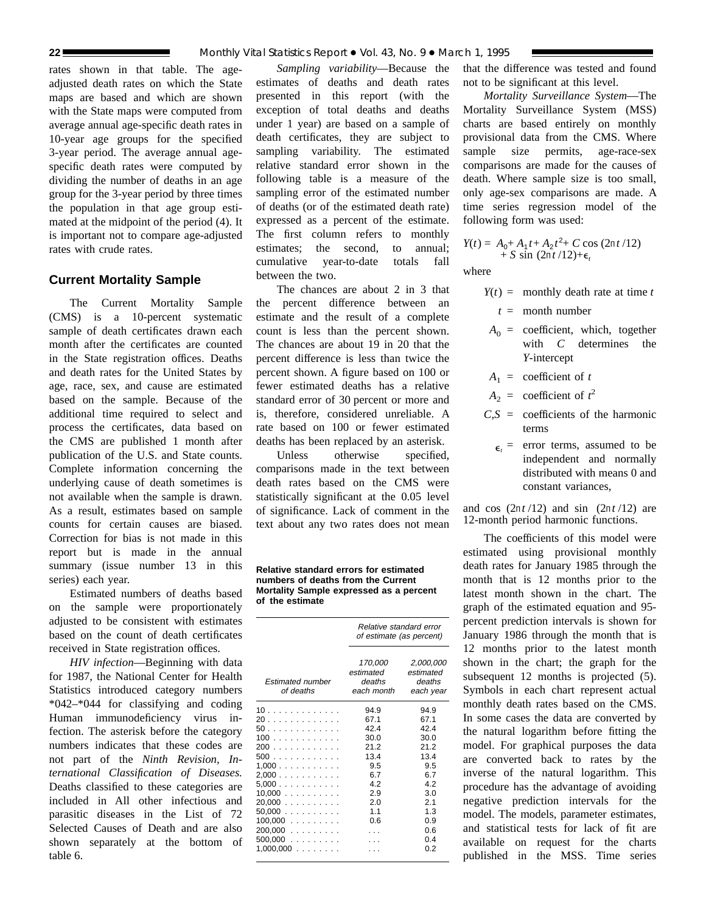rates shown in that table. The ageadjusted death rates on which the State maps are based and which are shown with the State maps were computed from average annual age-specific death rates in 10-year age groups for the specified 3-year period. The average annual agespecific death rates were computed by dividing the number of deaths in an age group for the 3-year period by three times the population in that age group estimated at the midpoint of the period (4). It is important not to compare age-adjusted rates with crude rates.

# **Current Mortality Sample**

The Current Mortality Sample (CMS) is a 10-percent systematic sample of death certificates drawn each month after the certificates are counted in the State registration offices. Deaths and death rates for the United States by age, race, sex, and cause are estimated based on the sample. Because of the additional time required to select and process the certificates, data based on the CMS are published 1 month after publication of the U.S. and State counts. Complete information concerning the underlying cause of death sometimes is not available when the sample is drawn. As a result, estimates based on sample counts for certain causes are biased. Correction for bias is not made in this report but is made in the annual summary (issue number 13 in this series) each year.

Estimated numbers of deaths based on the sample were proportionately adjusted to be consistent with estimates based on the count of death certificates received in State registration offices.

*HIV infection*—Beginning with data for 1987, the National Center for Health Statistics introduced category numbers \*042–\*044 for classifying and coding Human immunodeficiency virus infection. The asterisk before the category numbers indicates that these codes are not part of the *Ninth Revision, International Classification of Diseases.* Deaths classified to these categories are included in All other infectious and parasitic diseases in the List of 72 Selected Causes of Death and are also shown separately at the bottom of table 6.

*Sampling variability*—Because the estimates of deaths and death rates presented in this report (with the exception of total deaths and deaths under 1 year) are based on a sample of death certificates, they are subject to sampling variability. The estimated relative standard error shown in the following table is a measure of the sampling error of the estimated number of deaths (or of the estimated death rate) expressed as a percent of the estimate. The first column refers to monthly estimates; the second, to annual; cumulative year-to-date totals fall between the two.

The chances are about 2 in 3 that the percent difference between an estimate and the result of a complete count is less than the percent shown. The chances are about 19 in 20 that the percent difference is less than twice the percent shown. A figure based on 100 or fewer estimated deaths has a relative standard error of 30 percent or more and is, therefore, considered unreliable. A rate based on 100 or fewer estimated deaths has been replaced by an asterisk.

Unless otherwise specified. comparisons made in the text between death rates based on the CMS were statistically significant at the 0.05 level of significance. Lack of comment in the text about any two rates does not mean

**Relative standard errors for estimated numbers of deaths from the Current Mortality Sample expressed as a percent of the estimate**

|                                                | Relative standard error<br>of estimate (as percent) |                                               |  |  |  |
|------------------------------------------------|-----------------------------------------------------|-----------------------------------------------|--|--|--|
| Estimated number<br>of deaths                  | 170,000<br>estimated<br>deaths<br>each month        | 2,000,000<br>estimated<br>deaths<br>each year |  |  |  |
| 10                                             | 94.9                                                | 94.9                                          |  |  |  |
| 20                                             | 67.1                                                | 67.1                                          |  |  |  |
| 50                                             | 42.4                                                | 42.4                                          |  |  |  |
| 100                                            | 30.0                                                | 30.0                                          |  |  |  |
| 200<br>$\sim$ 100 km s $\sim$ 100 km s $^{-1}$ | 21.2                                                | 21.2                                          |  |  |  |
| 500                                            | 13.4                                                | 13.4                                          |  |  |  |
| 1,000                                          | 9.5                                                 | 9.5                                           |  |  |  |
| 2,000                                          | 6.7                                                 | 6.7                                           |  |  |  |
| 5,000                                          | 4.2                                                 | 42                                            |  |  |  |
| 10,000                                         | 2.9                                                 | 3.0                                           |  |  |  |
| 20,000                                         | 2.0                                                 | 21                                            |  |  |  |
| $50,000$                                       | 1.1                                                 | 1.3                                           |  |  |  |
| $100,000$                                      | 0.6                                                 | 0.9                                           |  |  |  |
| 200,000                                        |                                                     | 0.6                                           |  |  |  |
| $500,000$                                      |                                                     | 0.4                                           |  |  |  |
| $1,000,000$                                    |                                                     | 0.2                                           |  |  |  |

that the difference was tested and found not to be significant at this level.

*Mortality Surveillance System*—The Mortality Surveillance System (MSS) charts are based entirely on monthly provisional data from the CMS. Where sample size permits, age-race-sex comparisons are made for the causes of death. Where sample size is too small, only age-sex comparisons are made. A time series regression model of the following form was used:

$$
Y(t) = A_0 + A_1 t + A_2 t^2 + C \cos (2\pi t / 12) + S \sin (2\pi t / 12) + \epsilon_t
$$

where

- $Y(t) =$  monthly death rate at time *t* 
	- *t* = month number
- $A_0$  = coefficient, which, together with *C* determines the *Y*-intercept
- $A_1$  = coefficient of *t*
- $A_2$  = coefficient of  $t^2$
- $C.S =$  coefficients of the harmonic terms
	- $\epsilon$  = error terms, assumed to be independent and normally distributed with means 0 and constant variances,

and cos  $(2\pi t/12)$  and sin  $(2\pi t/12)$  are 12-month period harmonic functions.

The coefficients of this model were estimated using provisional monthly death rates for January 1985 through the month that is 12 months prior to the latest month shown in the chart. The graph of the estimated equation and 95 percent prediction intervals is shown for January 1986 through the month that is 12 months prior to the latest month shown in the chart; the graph for the subsequent 12 months is projected  $(5)$ . Symbols in each chart represent actual monthly death rates based on the CMS. In some cases the data are converted by the natural logarithm before fitting the model. For graphical purposes the data are converted back to rates by the inverse of the natural logarithm. This procedure has the advantage of avoiding negative prediction intervals for the model. The models, parameter estimates, and statistical tests for lack of fit are available on request for the charts published in the MSS. Time series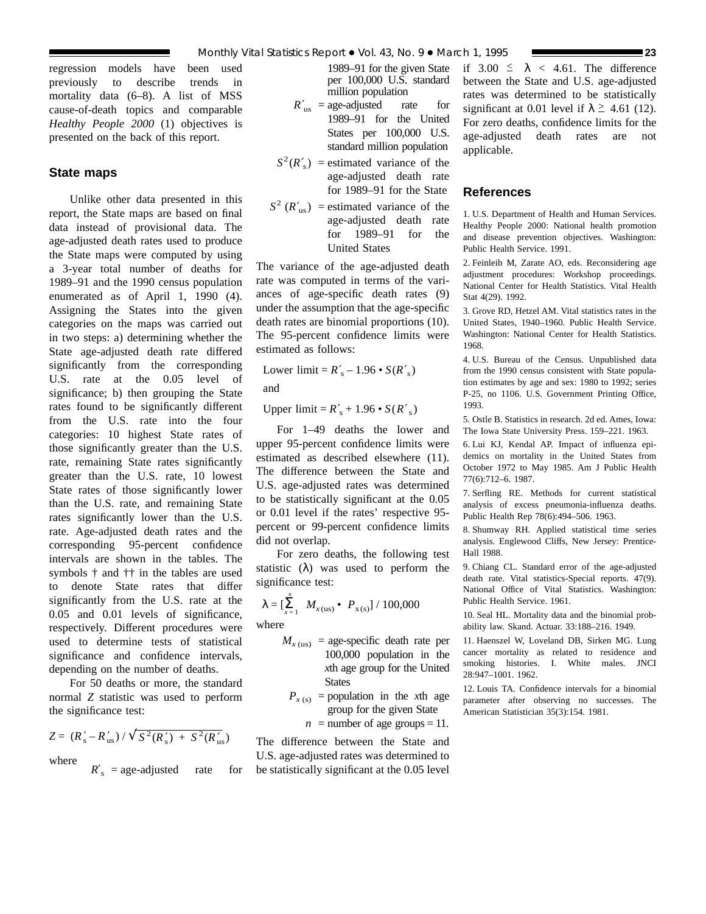regression models have been used previously to describe trends in mortality data (6–8). A list of MSS cause-of-death topics and comparable *Healthy People 2000* (1) objectives is presented on the back of this report.

# **State maps**

Unlike other data presented in this report, the State maps are based on final data instead of provisional data. The age-adjusted death rates used to produce the State maps were computed by using a 3-year total number of deaths for 1989–91 and the 1990 census population enumerated as of April 1, 1990 (4). Assigning the States into the given categories on the maps was carried out in two steps: a) determining whether the State age-adjusted death rate differed significantly from the corresponding U.S. rate at the 0.05 level of significance; b) then grouping the State rates found to be significantly different from the U.S. rate into the four categories: 10 highest State rates of those significantly greater than the U.S. rate, remaining State rates significantly greater than the U.S. rate, 10 lowest State rates of those significantly lower than the U.S. rate, and remaining State rates significantly lower than the U.S. rate. Age-adjusted death rates and the corresponding 95-percent confidence intervals are shown in the tables. The symbols † and †† in the tables are used to denote State rates that differ significantly from the U.S. rate at the 0.05 and 0.01 levels of significance, respectively. Different procedures were used to determine tests of statistical significance and confidence intervals, depending on the number of deaths.

For 50 deaths or more, the standard normal *Z* statistic was used to perform the significance test:

$$
Z = (R'_s - R'_{us}) / \sqrt{S^2(R'_s) + S^2(R'_{us})}
$$

where

 $R'$ <sub>s</sub> = age-adjusted rate for

1989–91 for the given State per 100,000 U.S. standard million population

- $R'_{\text{us}} = \text{age-adjusted}$  rate for 1989–91 for the United States per 100,000 U.S. standard million population
- $S^2(R'_s)$  = estimated variance of the age-adjusted death rate for 1989–91 for the State
- $S^2$  ( $R'_{\text{us}}$ ) = estimated variance of the age-adjusted death rate for 1989–91 for the United States

The variance of the age-adjusted death rate was computed in terms of the variances of age-specific death rates (9) under the assumption that the age-specific death rates are binomial proportions (10). The 95-percent confidence limits were estimated as follows:

Lower limit =  $R'_s - 1.96 \cdot S(R'_s)$ 

and

Upper  $\text{limit} = R'_{\text{s}} + 1.96 \cdot S(R'_{\text{s}})$ 

For 1–49 deaths the lower and upper 95-percent confidence limits were estimated as described elsewhere (11). The difference between the State and U.S. age-adjusted rates was determined to be statistically significant at the 0.05 or 0.01 level if the rates' respective 95 percent or 99-percent confidence limits did not overlap.

For zero deaths, the following test statistic  $(\lambda)$  was used to perform the significance test:

$$
\lambda = \left[\sum_{x=1}^{n} M_{x(\text{us})} \bullet P_{x(\text{s})}\right] / 100,000
$$

where

- $M_{x \text{ (us)}}$  = age-specific death rate per 100,000 population in the *x*th age group for the United **States** 
	- $P_{x(s)}$  = population in the *x*th age group for the given State

 $n =$  number of age groups = 11.

The difference between the State and U.S. age-adjusted rates was determined to be statistically significant at the 0.05 level if  $3.00 \le \lambda < 4.61$ . The difference between the State and U.S. age-adjusted rates was determined to be statistically significant at 0.01 level if  $\lambda \geq 4.61$  (12). For zero deaths, confidence limits for the age-adjusted death rates are not applicable.

# **References**

1. U.S. Department of Health and Human Services. Healthy People 2000: National health promotion and disease prevention objectives. Washington: Public Health Service. 1991.

2. Feinleib M, Zarate AO, eds. Reconsidering age adjustment procedures: Workshop proceedings. National Center for Health Statistics. Vital Health Stat 4(29). 1992.

3. Grove RD, Hetzel AM. Vital statistics rates in the United States, 1940–1960. Public Health Service. Washington: National Center for Health Statistics. 1968.

4. U.S. Bureau of the Census. Unpublished data from the 1990 census consistent with State population estimates by age and sex: 1980 to 1992; series P-25, no 1106. U.S. Government Printing Office, 1993.

5. Ostle B. Statistics in research. 2d ed. Ames, Iowa: The Iowa State University Press. 159–221. 1963.

6. Lui KJ, Kendal AP. Impact of influenza epidemics on mortality in the United States from October 1972 to May 1985. Am J Public Health 77(6):712–6. 1987.

7. Serfling RE. Methods for current statistical analysis of excess pneumonia-influenza deaths. Public Health Rep 78(6):494–506. 1963.

8. Shumway RH. Applied statistical time series analysis. Englewood Cliffs, New Jersey: Prentice-Hall 1988.

9. Chiang CL. Standard error of the age-adjusted death rate. Vital statistics-Special reports. 47(9). National Office of Vital Statistics. Washington: Public Health Service. 1961.

10. Seal HL. Mortality data and the binomial probability law. Skand. Actuar. 33:188–216. 1949.

11. Haenszel W, Loveland DB, Sirken MG. Lung cancer mortality as related to residence and smoking histories. I. White males. JNCI 28:947–1001. 1962.

12. Louis TA. Confidence intervals for a binomial parameter after observing no successes. The American Statistician 35(3):154. 1981.